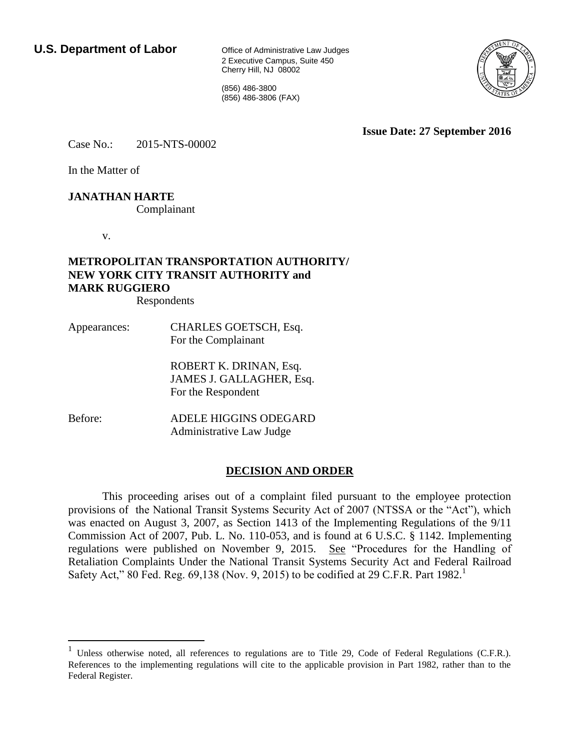2 Executive Campus, Suite 450 Cherry Hill, NJ 08002

(856) 486-3800 (856) 486-3806 (FAX)



**Issue Date: 27 September 2016**

Case No.: 2015-NTS-00002

In the Matter of

### **JANATHAN HARTE**

Complainant

v.

 $\overline{a}$ 

# **METROPOLITAN TRANSPORTATION AUTHORITY/ NEW YORK CITY TRANSIT AUTHORITY and MARK RUGGIERO**

Respondents

Appearances: CHARLES GOETSCH, Esq. For the Complainant

> ROBERT K. DRINAN, Esq. JAMES J. GALLAGHER, Esq. For the Respondent

Before: ADELE HIGGINS ODEGARD Administrative Law Judge

# **DECISION AND ORDER**

This proceeding arises out of a complaint filed pursuant to the employee protection provisions of the National Transit Systems Security Act of 2007 (NTSSA or the "Act"), which was enacted on August 3, 2007, as Section 1413 of the Implementing Regulations of the 9/11 Commission Act of 2007, Pub. L. No. 110-053, and is found at 6 U.S.C. § 1142. Implementing regulations were published on November 9, 2015. See "Procedures for the Handling of Retaliation Complaints Under the National Transit Systems Security Act and Federal Railroad Safety Act," 80 Fed. Reg.  $69,138$  (Nov. 9, 2015) to be codified at 29 C.F.R. Part 1982.<sup>1</sup>

<sup>&</sup>lt;sup>1</sup> Unless otherwise noted, all references to regulations are to Title 29, Code of Federal Regulations (C.F.R.). References to the implementing regulations will cite to the applicable provision in Part 1982, rather than to the Federal Register.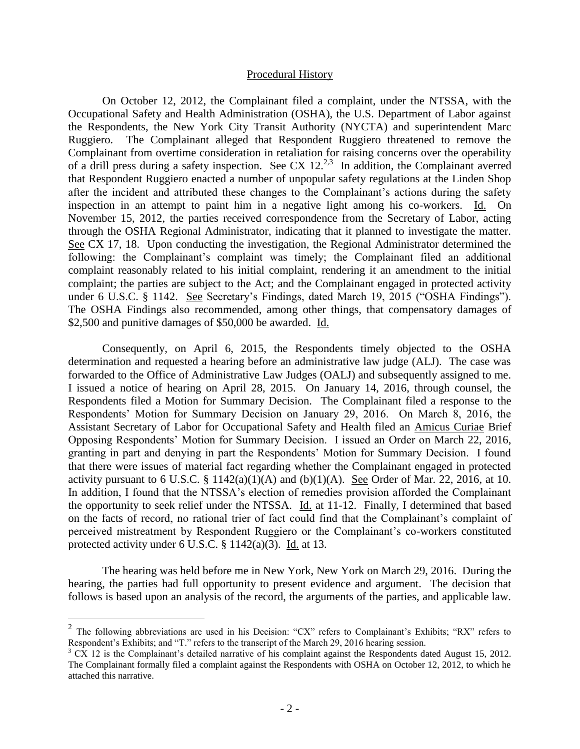#### Procedural History

On October 12, 2012, the Complainant filed a complaint, under the NTSSA, with the Occupational Safety and Health Administration (OSHA), the U.S. Department of Labor against the Respondents, the New York City Transit Authority (NYCTA) and superintendent Marc Ruggiero. The Complainant alleged that Respondent Ruggiero threatened to remove the Complainant from overtime consideration in retaliation for raising concerns over the operability of a drill press during a safety inspection. See CX  $12<sup>2,3</sup>$  In addition, the Complainant averred that Respondent Ruggiero enacted a number of unpopular safety regulations at the Linden Shop after the incident and attributed these changes to the Complainant's actions during the safety inspection in an attempt to paint him in a negative light among his co-workers. Id. On November 15, 2012, the parties received correspondence from the Secretary of Labor, acting through the OSHA Regional Administrator, indicating that it planned to investigate the matter. See CX 17, 18. Upon conducting the investigation, the Regional Administrator determined the following: the Complainant's complaint was timely; the Complainant filed an additional complaint reasonably related to his initial complaint, rendering it an amendment to the initial complaint; the parties are subject to the Act; and the Complainant engaged in protected activity under 6 U.S.C. § 1142. See Secretary"s Findings, dated March 19, 2015 ("OSHA Findings"). The OSHA Findings also recommended, among other things, that compensatory damages of \$2,500 and punitive damages of \$50,000 be awarded. Id.

Consequently, on April 6, 2015, the Respondents timely objected to the OSHA determination and requested a hearing before an administrative law judge (ALJ). The case was forwarded to the Office of Administrative Law Judges (OALJ) and subsequently assigned to me. I issued a notice of hearing on April 28, 2015. On January 14, 2016, through counsel, the Respondents filed a Motion for Summary Decision. The Complainant filed a response to the Respondents" Motion for Summary Decision on January 29, 2016. On March 8, 2016, the Assistant Secretary of Labor for Occupational Safety and Health filed an Amicus Curiae Brief Opposing Respondents" Motion for Summary Decision. I issued an Order on March 22, 2016, granting in part and denying in part the Respondents" Motion for Summary Decision. I found that there were issues of material fact regarding whether the Complainant engaged in protected activity pursuant to 6 U.S.C.  $\S$  1142(a)(1)(A) and (b)(1)(A). See Order of Mar. 22, 2016, at 10. In addition, I found that the NTSSA"s election of remedies provision afforded the Complainant the opportunity to seek relief under the NTSSA. Id. at 11-12. Finally, I determined that based on the facts of record, no rational trier of fact could find that the Complainant"s complaint of perceived mistreatment by Respondent Ruggiero or the Complainant's co-workers constituted protected activity under 6 U.S.C. § 1142(a)(3). Id. at 13.

The hearing was held before me in New York, New York on March 29, 2016. During the hearing, the parties had full opportunity to present evidence and argument. The decision that follows is based upon an analysis of the record, the arguments of the parties, and applicable law.

<sup>&</sup>lt;sup>2</sup> The following abbreviations are used in his Decision: "CX" refers to Complainant's Exhibits; "RX" refers to Respondent's Exhibits; and "T." refers to the transcript of the March 29, 2016 hearing session.

 $3 \text{ C} \text{X}$  12 is the Complainant's detailed narrative of his complaint against the Respondents dated August 15, 2012. The Complainant formally filed a complaint against the Respondents with OSHA on October 12, 2012, to which he attached this narrative.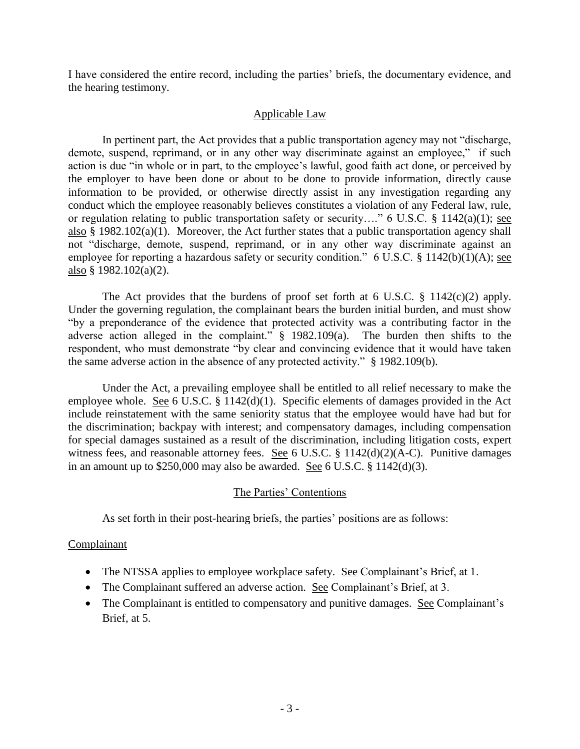I have considered the entire record, including the parties" briefs, the documentary evidence, and the hearing testimony.

## Applicable Law

In pertinent part, the Act provides that a public transportation agency may not "discharge, demote, suspend, reprimand, or in any other way discriminate against an employee," if such action is due "in whole or in part, to the employee's lawful, good faith act done, or perceived by the employer to have been done or about to be done to provide information, directly cause information to be provided, or otherwise directly assist in any investigation regarding any conduct which the employee reasonably believes constitutes a violation of any Federal law, rule, or regulation relating to public transportation safety or security…." 6 U.S.C. § 1142(a)(1); <u>see</u> also  $\S$  1982.102(a)(1). Moreover, the Act further states that a public transportation agency shall not "discharge, demote, suspend, reprimand, or in any other way discriminate against an employee for reporting a hazardous safety or security condition." 6 U.S.C. § 1142(b)(1)(A); see also § 1982.102(a)(2).

The Act provides that the burdens of proof set forth at 6 U.S.C.  $\S$  1142(c)(2) apply. Under the governing regulation, the complainant bears the burden initial burden, and must show "by a preponderance of the evidence that protected activity was a contributing factor in the adverse action alleged in the complaint." § 1982.109(a). The burden then shifts to the respondent, who must demonstrate "by clear and convincing evidence that it would have taken the same adverse action in the absence of any protected activity." § 1982.109(b).

Under the Act, a prevailing employee shall be entitled to all relief necessary to make the employee whole. See 6 U.S.C. § 1142(d)(1). Specific elements of damages provided in the Act include reinstatement with the same seniority status that the employee would have had but for the discrimination; backpay with interest; and compensatory damages, including compensation for special damages sustained as a result of the discrimination, including litigation costs, expert witness fees, and reasonable attorney fees. See 6 U.S.C. § 1142(d)(2)(A-C). Punitive damages in an amount up to  $$250,000$  may also be awarded. See 6 U.S.C. § 1142(d)(3).

# The Parties' Contentions

As set forth in their post-hearing briefs, the parties' positions are as follows:

# **Complainant**

- The NTSSA applies to employee workplace safety. See Complainant's Brief, at 1.
- The Complainant suffered an adverse action. See Complainant's Brief, at 3.
- The Complainant is entitled to compensatory and punitive damages. See Complainant's Brief, at 5.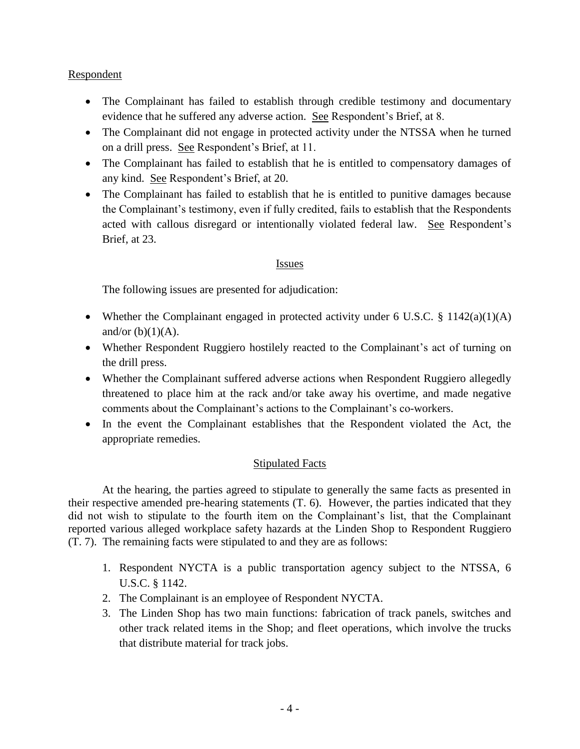# Respondent

- The Complainant has failed to establish through credible testimony and documentary evidence that he suffered any adverse action. See Respondent's Brief, at 8.
- The Complainant did not engage in protected activity under the NTSSA when he turned on a drill press. See Respondent"s Brief, at 11.
- The Complainant has failed to establish that he is entitled to compensatory damages of any kind. See Respondent"s Brief, at 20.
- The Complainant has failed to establish that he is entitled to punitive damages because the Complainant"s testimony, even if fully credited, fails to establish that the Respondents acted with callous disregard or intentionally violated federal law. See Respondent"s Brief, at 23.

### Issues

The following issues are presented for adjudication:

- Whether the Complainant engaged in protected activity under 6 U.S.C. § 1142(a)(1)(A) and/or  $(b)(1)(A)$ .
- Whether Respondent Ruggiero hostilely reacted to the Complainant's act of turning on the drill press.
- Whether the Complainant suffered adverse actions when Respondent Ruggiero allegedly threatened to place him at the rack and/or take away his overtime, and made negative comments about the Complainant's actions to the Complainant's co-workers.
- In the event the Complainant establishes that the Respondent violated the Act, the appropriate remedies.

# Stipulated Facts

At the hearing, the parties agreed to stipulate to generally the same facts as presented in their respective amended pre-hearing statements (T. 6). However, the parties indicated that they did not wish to stipulate to the fourth item on the Complainant's list, that the Complainant reported various alleged workplace safety hazards at the Linden Shop to Respondent Ruggiero (T. 7). The remaining facts were stipulated to and they are as follows:

- 1. Respondent NYCTA is a public transportation agency subject to the NTSSA, 6 U.S.C. § 1142.
- 2. The Complainant is an employee of Respondent NYCTA.
- 3. The Linden Shop has two main functions: fabrication of track panels, switches and other track related items in the Shop; and fleet operations, which involve the trucks that distribute material for track jobs.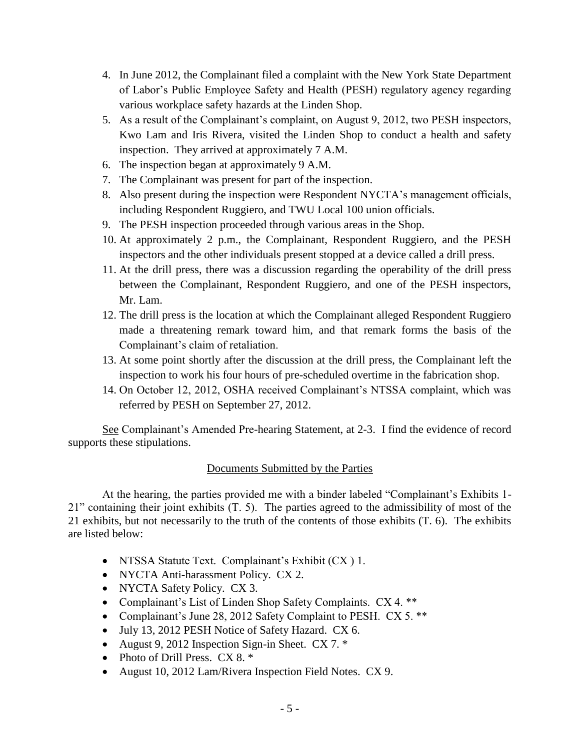- 4. In June 2012, the Complainant filed a complaint with the New York State Department of Labor"s Public Employee Safety and Health (PESH) regulatory agency regarding various workplace safety hazards at the Linden Shop.
- 5. As a result of the Complainant"s complaint, on August 9, 2012, two PESH inspectors, Kwo Lam and Iris Rivera, visited the Linden Shop to conduct a health and safety inspection. They arrived at approximately 7 A.M.
- 6. The inspection began at approximately 9 A.M.
- 7. The Complainant was present for part of the inspection.
- 8. Also present during the inspection were Respondent NYCTA"s management officials, including Respondent Ruggiero, and TWU Local 100 union officials.
- 9. The PESH inspection proceeded through various areas in the Shop.
- 10. At approximately 2 p.m., the Complainant, Respondent Ruggiero, and the PESH inspectors and the other individuals present stopped at a device called a drill press.
- 11. At the drill press, there was a discussion regarding the operability of the drill press between the Complainant, Respondent Ruggiero, and one of the PESH inspectors, Mr. Lam.
- 12. The drill press is the location at which the Complainant alleged Respondent Ruggiero made a threatening remark toward him, and that remark forms the basis of the Complainant's claim of retaliation.
- 13. At some point shortly after the discussion at the drill press, the Complainant left the inspection to work his four hours of pre-scheduled overtime in the fabrication shop.
- 14. On October 12, 2012, OSHA received Complainant's NTSSA complaint, which was referred by PESH on September 27, 2012.

See Complainant's Amended Pre-hearing Statement, at 2-3. I find the evidence of record supports these stipulations.

# Documents Submitted by the Parties

At the hearing, the parties provided me with a binder labeled "Complainant's Exhibits 1-21" containing their joint exhibits (T. 5). The parties agreed to the admissibility of most of the 21 exhibits, but not necessarily to the truth of the contents of those exhibits (T. 6). The exhibits are listed below:

- NTSSA Statute Text. Complainant's Exhibit (CX) 1.
- NYCTA Anti-harassment Policy. CX 2.
- NYCTA Safety Policy. CX 3.
- Complainant's List of Linden Shop Safety Complaints. CX 4. \*\*
- Complainant's June 28, 2012 Safety Complaint to PESH. CX 5. \*\*
- July 13, 2012 PESH Notice of Safety Hazard. CX 6.
- August 9, 2012 Inspection Sign-in Sheet. CX 7. \*
- Photo of Drill Press. CX 8. \*
- August 10, 2012 Lam/Rivera Inspection Field Notes. CX 9.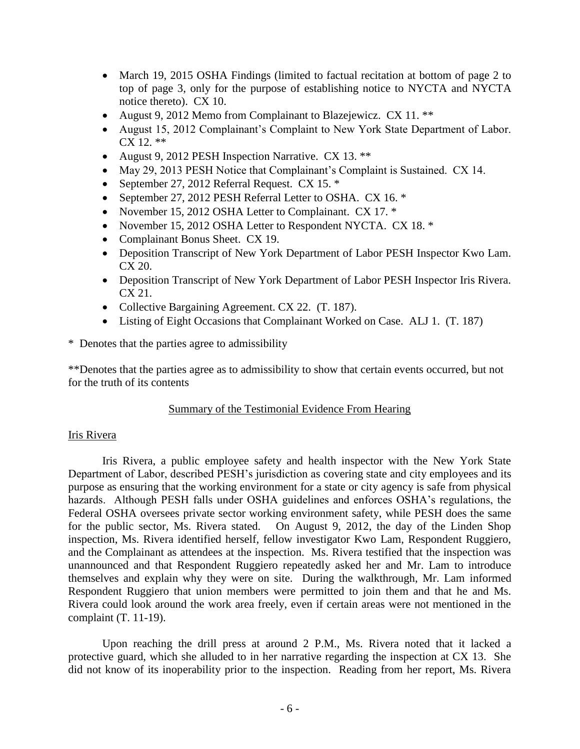- March 19, 2015 OSHA Findings (limited to factual recitation at bottom of page 2 to top of page 3, only for the purpose of establishing notice to NYCTA and NYCTA notice thereto). CX 10.
- August 9, 2012 Memo from Complainant to Blazejewicz. CX 11. \*\*
- August 15, 2012 Complainant's Complaint to New York State Department of Labor.  $CX 12.$ \*\*
- August 9, 2012 PESH Inspection Narrative. CX 13. \*\*
- May 29, 2013 PESH Notice that Complainant's Complaint is Sustained. CX 14.
- September 27, 2012 Referral Request. CX 15. \*
- September 27, 2012 PESH Referral Letter to OSHA. CX 16. \*
- November 15, 2012 OSHA Letter to Complainant. CX 17. \*
- November 15, 2012 OSHA Letter to Respondent NYCTA. CX 18. \*
- Complainant Bonus Sheet. CX 19.
- Deposition Transcript of New York Department of Labor PESH Inspector Kwo Lam. CX 20.
- Deposition Transcript of New York Department of Labor PESH Inspector Iris Rivera. CX 21.
- Collective Bargaining Agreement. CX 22. (T. 187).
- Listing of Eight Occasions that Complainant Worked on Case. ALJ 1. (T. 187)

\* Denotes that the parties agree to admissibility

\*\*Denotes that the parties agree as to admissibility to show that certain events occurred, but not for the truth of its contents

# Summary of the Testimonial Evidence From Hearing

### Iris Rivera

Iris Rivera, a public employee safety and health inspector with the New York State Department of Labor, described PESH"s jurisdiction as covering state and city employees and its purpose as ensuring that the working environment for a state or city agency is safe from physical hazards. Although PESH falls under OSHA guidelines and enforces OSHA's regulations, the Federal OSHA oversees private sector working environment safety, while PESH does the same for the public sector, Ms. Rivera stated. On August 9, 2012, the day of the Linden Shop inspection, Ms. Rivera identified herself, fellow investigator Kwo Lam, Respondent Ruggiero, and the Complainant as attendees at the inspection. Ms. Rivera testified that the inspection was unannounced and that Respondent Ruggiero repeatedly asked her and Mr. Lam to introduce themselves and explain why they were on site. During the walkthrough, Mr. Lam informed Respondent Ruggiero that union members were permitted to join them and that he and Ms. Rivera could look around the work area freely, even if certain areas were not mentioned in the complaint (T. 11-19).

Upon reaching the drill press at around 2 P.M., Ms. Rivera noted that it lacked a protective guard, which she alluded to in her narrative regarding the inspection at CX 13. She did not know of its inoperability prior to the inspection. Reading from her report, Ms. Rivera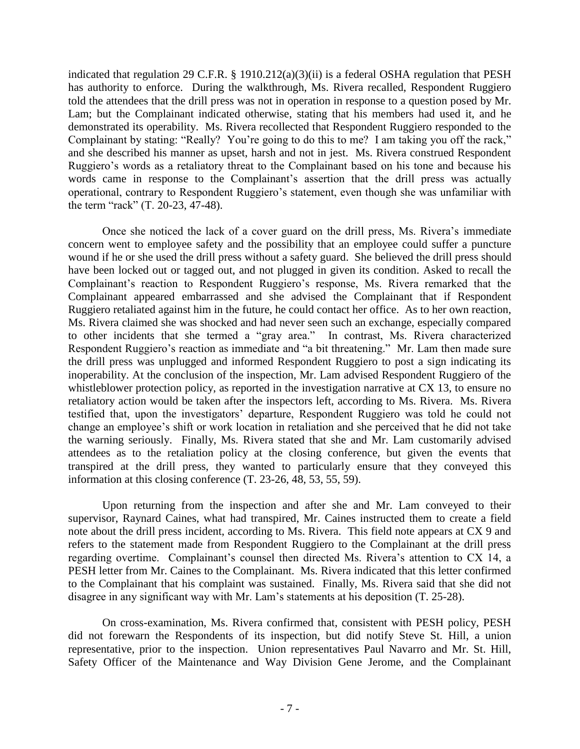indicated that regulation 29 C.F.R. § 1910.212(a)(3)(ii) is a federal OSHA regulation that PESH has authority to enforce. During the walkthrough, Ms. Rivera recalled, Respondent Ruggiero told the attendees that the drill press was not in operation in response to a question posed by Mr. Lam; but the Complainant indicated otherwise, stating that his members had used it, and he demonstrated its operability. Ms. Rivera recollected that Respondent Ruggiero responded to the Complainant by stating: "Really? You"re going to do this to me? I am taking you off the rack," and she described his manner as upset, harsh and not in jest. Ms. Rivera construed Respondent Ruggiero"s words as a retaliatory threat to the Complainant based on his tone and because his words came in response to the Complainant's assertion that the drill press was actually operational, contrary to Respondent Ruggiero's statement, even though she was unfamiliar with the term "rack" (T. 20-23, 47-48).

Once she noticed the lack of a cover guard on the drill press, Ms. Rivera"s immediate concern went to employee safety and the possibility that an employee could suffer a puncture wound if he or she used the drill press without a safety guard. She believed the drill press should have been locked out or tagged out, and not plugged in given its condition. Asked to recall the Complainant"s reaction to Respondent Ruggiero"s response, Ms. Rivera remarked that the Complainant appeared embarrassed and she advised the Complainant that if Respondent Ruggiero retaliated against him in the future, he could contact her office. As to her own reaction, Ms. Rivera claimed she was shocked and had never seen such an exchange, especially compared to other incidents that she termed a "gray area." In contrast, Ms. Rivera characterized Respondent Ruggiero's reaction as immediate and "a bit threatening." Mr. Lam then made sure the drill press was unplugged and informed Respondent Ruggiero to post a sign indicating its inoperability. At the conclusion of the inspection, Mr. Lam advised Respondent Ruggiero of the whistleblower protection policy, as reported in the investigation narrative at CX 13, to ensure no retaliatory action would be taken after the inspectors left, according to Ms. Rivera. Ms. Rivera testified that, upon the investigators" departure, Respondent Ruggiero was told he could not change an employee"s shift or work location in retaliation and she perceived that he did not take the warning seriously. Finally, Ms. Rivera stated that she and Mr. Lam customarily advised attendees as to the retaliation policy at the closing conference, but given the events that transpired at the drill press, they wanted to particularly ensure that they conveyed this information at this closing conference (T. 23-26, 48, 53, 55, 59).

Upon returning from the inspection and after she and Mr. Lam conveyed to their supervisor, Raynard Caines, what had transpired, Mr. Caines instructed them to create a field note about the drill press incident, according to Ms. Rivera. This field note appears at CX 9 and refers to the statement made from Respondent Ruggiero to the Complainant at the drill press regarding overtime. Complainant's counsel then directed Ms. Rivera's attention to CX 14, a PESH letter from Mr. Caines to the Complainant. Ms. Rivera indicated that this letter confirmed to the Complainant that his complaint was sustained. Finally, Ms. Rivera said that she did not disagree in any significant way with Mr. Lam"s statements at his deposition (T. 25-28).

On cross-examination, Ms. Rivera confirmed that, consistent with PESH policy, PESH did not forewarn the Respondents of its inspection, but did notify Steve St. Hill, a union representative, prior to the inspection. Union representatives Paul Navarro and Mr. St. Hill, Safety Officer of the Maintenance and Way Division Gene Jerome, and the Complainant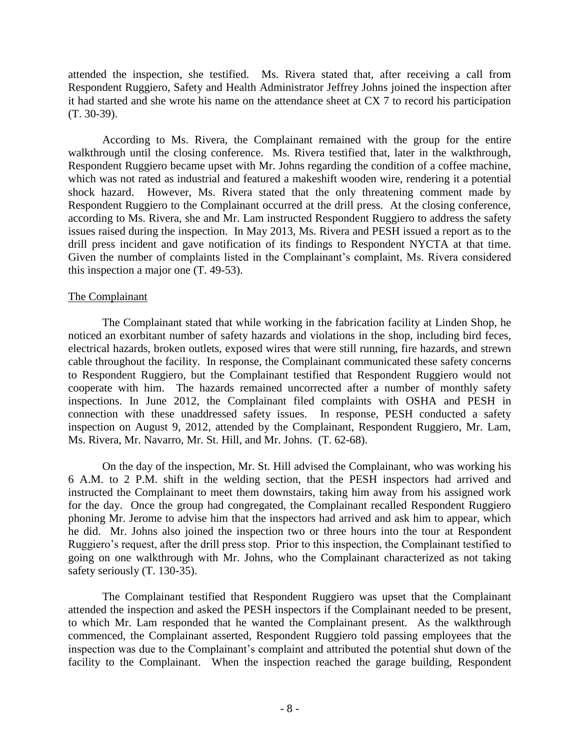attended the inspection, she testified. Ms. Rivera stated that, after receiving a call from Respondent Ruggiero, Safety and Health Administrator Jeffrey Johns joined the inspection after it had started and she wrote his name on the attendance sheet at CX 7 to record his participation (T. 30-39).

According to Ms. Rivera, the Complainant remained with the group for the entire walkthrough until the closing conference. Ms. Rivera testified that, later in the walkthrough, Respondent Ruggiero became upset with Mr. Johns regarding the condition of a coffee machine, which was not rated as industrial and featured a makeshift wooden wire, rendering it a potential shock hazard. However, Ms. Rivera stated that the only threatening comment made by Respondent Ruggiero to the Complainant occurred at the drill press. At the closing conference, according to Ms. Rivera, she and Mr. Lam instructed Respondent Ruggiero to address the safety issues raised during the inspection. In May 2013, Ms. Rivera and PESH issued a report as to the drill press incident and gave notification of its findings to Respondent NYCTA at that time. Given the number of complaints listed in the Complainant's complaint, Ms. Rivera considered this inspection a major one (T. 49-53).

### The Complainant

The Complainant stated that while working in the fabrication facility at Linden Shop, he noticed an exorbitant number of safety hazards and violations in the shop, including bird feces, electrical hazards, broken outlets, exposed wires that were still running, fire hazards, and strewn cable throughout the facility. In response, the Complainant communicated these safety concerns to Respondent Ruggiero, but the Complainant testified that Respondent Ruggiero would not cooperate with him. The hazards remained uncorrected after a number of monthly safety inspections. In June 2012, the Complainant filed complaints with OSHA and PESH in connection with these unaddressed safety issues. In response, PESH conducted a safety inspection on August 9, 2012, attended by the Complainant, Respondent Ruggiero, Mr. Lam, Ms. Rivera, Mr. Navarro, Mr. St. Hill, and Mr. Johns. (T. 62-68).

On the day of the inspection, Mr. St. Hill advised the Complainant, who was working his 6 A.M. to 2 P.M. shift in the welding section, that the PESH inspectors had arrived and instructed the Complainant to meet them downstairs, taking him away from his assigned work for the day. Once the group had congregated, the Complainant recalled Respondent Ruggiero phoning Mr. Jerome to advise him that the inspectors had arrived and ask him to appear, which he did. Mr. Johns also joined the inspection two or three hours into the tour at Respondent Ruggiero"s request, after the drill press stop. Prior to this inspection, the Complainant testified to going on one walkthrough with Mr. Johns, who the Complainant characterized as not taking safety seriously (T. 130-35).

The Complainant testified that Respondent Ruggiero was upset that the Complainant attended the inspection and asked the PESH inspectors if the Complainant needed to be present, to which Mr. Lam responded that he wanted the Complainant present. As the walkthrough commenced, the Complainant asserted, Respondent Ruggiero told passing employees that the inspection was due to the Complainant"s complaint and attributed the potential shut down of the facility to the Complainant. When the inspection reached the garage building, Respondent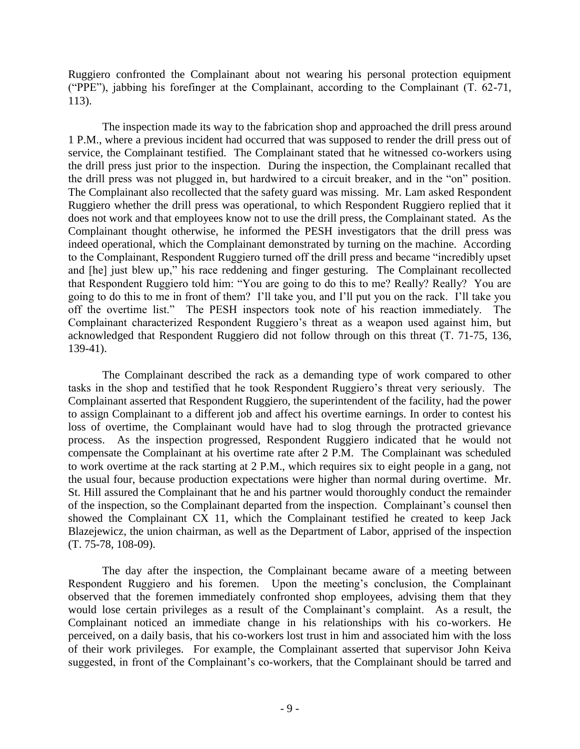Ruggiero confronted the Complainant about not wearing his personal protection equipment ("PPE"), jabbing his forefinger at the Complainant, according to the Complainant (T. 62-71, 113).

The inspection made its way to the fabrication shop and approached the drill press around 1 P.M., where a previous incident had occurred that was supposed to render the drill press out of service, the Complainant testified. The Complainant stated that he witnessed co-workers using the drill press just prior to the inspection. During the inspection, the Complainant recalled that the drill press was not plugged in, but hardwired to a circuit breaker, and in the "on" position. The Complainant also recollected that the safety guard was missing. Mr. Lam asked Respondent Ruggiero whether the drill press was operational, to which Respondent Ruggiero replied that it does not work and that employees know not to use the drill press, the Complainant stated. As the Complainant thought otherwise, he informed the PESH investigators that the drill press was indeed operational, which the Complainant demonstrated by turning on the machine. According to the Complainant, Respondent Ruggiero turned off the drill press and became "incredibly upset and [he] just blew up," his race reddening and finger gesturing. The Complainant recollected that Respondent Ruggiero told him: "You are going to do this to me? Really? Really? You are going to do this to me in front of them? I"ll take you, and I"ll put you on the rack. I"ll take you off the overtime list." The PESH inspectors took note of his reaction immediately. The Complainant characterized Respondent Ruggiero"s threat as a weapon used against him, but acknowledged that Respondent Ruggiero did not follow through on this threat (T. 71-75, 136, 139-41).

The Complainant described the rack as a demanding type of work compared to other tasks in the shop and testified that he took Respondent Ruggiero"s threat very seriously. The Complainant asserted that Respondent Ruggiero, the superintendent of the facility, had the power to assign Complainant to a different job and affect his overtime earnings. In order to contest his loss of overtime, the Complainant would have had to slog through the protracted grievance process. As the inspection progressed, Respondent Ruggiero indicated that he would not compensate the Complainant at his overtime rate after 2 P.M. The Complainant was scheduled to work overtime at the rack starting at 2 P.M., which requires six to eight people in a gang, not the usual four, because production expectations were higher than normal during overtime. Mr. St. Hill assured the Complainant that he and his partner would thoroughly conduct the remainder of the inspection, so the Complainant departed from the inspection. Complainant's counsel then showed the Complainant CX 11, which the Complainant testified he created to keep Jack Blazejewicz, the union chairman, as well as the Department of Labor, apprised of the inspection (T. 75-78, 108-09).

The day after the inspection, the Complainant became aware of a meeting between Respondent Ruggiero and his foremen. Upon the meeting"s conclusion, the Complainant observed that the foremen immediately confronted shop employees, advising them that they would lose certain privileges as a result of the Complainant's complaint. As a result, the Complainant noticed an immediate change in his relationships with his co-workers. He perceived, on a daily basis, that his co-workers lost trust in him and associated him with the loss of their work privileges. For example, the Complainant asserted that supervisor John Keiva suggested, in front of the Complainant's co-workers, that the Complainant should be tarred and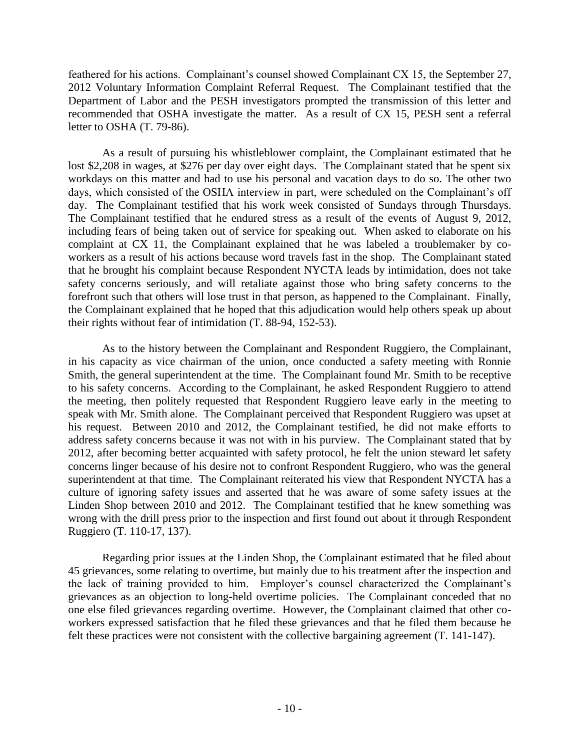feathered for his actions. Complainant's counsel showed Complainant CX 15, the September 27, 2012 Voluntary Information Complaint Referral Request. The Complainant testified that the Department of Labor and the PESH investigators prompted the transmission of this letter and recommended that OSHA investigate the matter. As a result of CX 15, PESH sent a referral letter to OSHA (T. 79-86).

As a result of pursuing his whistleblower complaint, the Complainant estimated that he lost \$2,208 in wages, at \$276 per day over eight days. The Complainant stated that he spent six workdays on this matter and had to use his personal and vacation days to do so. The other two days, which consisted of the OSHA interview in part, were scheduled on the Complainant's off day. The Complainant testified that his work week consisted of Sundays through Thursdays. The Complainant testified that he endured stress as a result of the events of August 9, 2012, including fears of being taken out of service for speaking out. When asked to elaborate on his complaint at CX 11, the Complainant explained that he was labeled a troublemaker by coworkers as a result of his actions because word travels fast in the shop. The Complainant stated that he brought his complaint because Respondent NYCTA leads by intimidation, does not take safety concerns seriously, and will retaliate against those who bring safety concerns to the forefront such that others will lose trust in that person, as happened to the Complainant. Finally, the Complainant explained that he hoped that this adjudication would help others speak up about their rights without fear of intimidation (T. 88-94, 152-53).

As to the history between the Complainant and Respondent Ruggiero, the Complainant, in his capacity as vice chairman of the union, once conducted a safety meeting with Ronnie Smith, the general superintendent at the time. The Complainant found Mr. Smith to be receptive to his safety concerns. According to the Complainant, he asked Respondent Ruggiero to attend the meeting, then politely requested that Respondent Ruggiero leave early in the meeting to speak with Mr. Smith alone. The Complainant perceived that Respondent Ruggiero was upset at his request. Between 2010 and 2012, the Complainant testified, he did not make efforts to address safety concerns because it was not with in his purview. The Complainant stated that by 2012, after becoming better acquainted with safety protocol, he felt the union steward let safety concerns linger because of his desire not to confront Respondent Ruggiero, who was the general superintendent at that time. The Complainant reiterated his view that Respondent NYCTA has a culture of ignoring safety issues and asserted that he was aware of some safety issues at the Linden Shop between 2010 and 2012. The Complainant testified that he knew something was wrong with the drill press prior to the inspection and first found out about it through Respondent Ruggiero (T. 110-17, 137).

Regarding prior issues at the Linden Shop, the Complainant estimated that he filed about 45 grievances, some relating to overtime, but mainly due to his treatment after the inspection and the lack of training provided to him. Employer's counsel characterized the Complainant's grievances as an objection to long-held overtime policies. The Complainant conceded that no one else filed grievances regarding overtime. However, the Complainant claimed that other coworkers expressed satisfaction that he filed these grievances and that he filed them because he felt these practices were not consistent with the collective bargaining agreement (T. 141-147).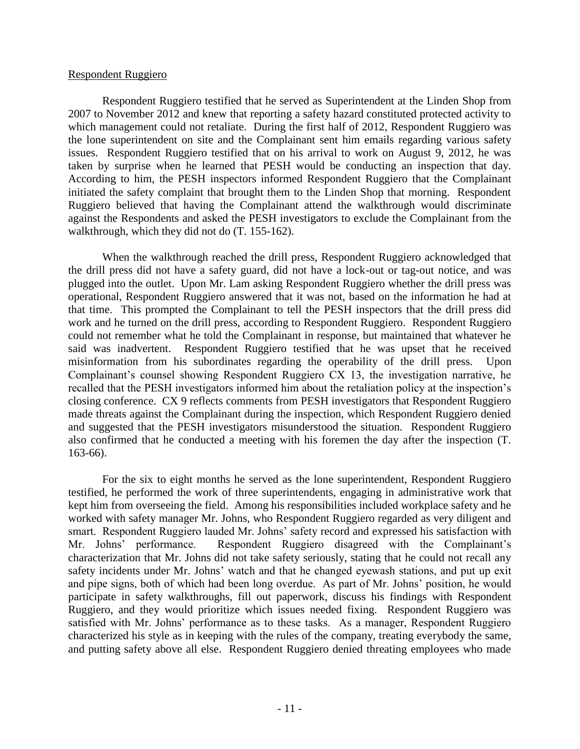#### Respondent Ruggiero

Respondent Ruggiero testified that he served as Superintendent at the Linden Shop from 2007 to November 2012 and knew that reporting a safety hazard constituted protected activity to which management could not retaliate. During the first half of 2012, Respondent Ruggiero was the lone superintendent on site and the Complainant sent him emails regarding various safety issues. Respondent Ruggiero testified that on his arrival to work on August 9, 2012, he was taken by surprise when he learned that PESH would be conducting an inspection that day. According to him, the PESH inspectors informed Respondent Ruggiero that the Complainant initiated the safety complaint that brought them to the Linden Shop that morning. Respondent Ruggiero believed that having the Complainant attend the walkthrough would discriminate against the Respondents and asked the PESH investigators to exclude the Complainant from the walkthrough, which they did not do (T. 155-162).

When the walkthrough reached the drill press, Respondent Ruggiero acknowledged that the drill press did not have a safety guard, did not have a lock-out or tag-out notice, and was plugged into the outlet. Upon Mr. Lam asking Respondent Ruggiero whether the drill press was operational, Respondent Ruggiero answered that it was not, based on the information he had at that time. This prompted the Complainant to tell the PESH inspectors that the drill press did work and he turned on the drill press, according to Respondent Ruggiero. Respondent Ruggiero could not remember what he told the Complainant in response, but maintained that whatever he said was inadvertent. Respondent Ruggiero testified that he was upset that he received misinformation from his subordinates regarding the operability of the drill press. Upon Complainant's counsel showing Respondent Ruggiero CX 13, the investigation narrative, he recalled that the PESH investigators informed him about the retaliation policy at the inspection"s closing conference. CX 9 reflects comments from PESH investigators that Respondent Ruggiero made threats against the Complainant during the inspection, which Respondent Ruggiero denied and suggested that the PESH investigators misunderstood the situation. Respondent Ruggiero also confirmed that he conducted a meeting with his foremen the day after the inspection (T. 163-66).

For the six to eight months he served as the lone superintendent, Respondent Ruggiero testified, he performed the work of three superintendents, engaging in administrative work that kept him from overseeing the field. Among his responsibilities included workplace safety and he worked with safety manager Mr. Johns, who Respondent Ruggiero regarded as very diligent and smart. Respondent Ruggiero lauded Mr. Johns" safety record and expressed his satisfaction with Mr. Johns' performance. Respondent Ruggiero disagreed with the Complainant's characterization that Mr. Johns did not take safety seriously, stating that he could not recall any safety incidents under Mr. Johns' watch and that he changed eyewash stations, and put up exit and pipe signs, both of which had been long overdue. As part of Mr. Johns" position, he would participate in safety walkthroughs, fill out paperwork, discuss his findings with Respondent Ruggiero, and they would prioritize which issues needed fixing. Respondent Ruggiero was satisfied with Mr. Johns" performance as to these tasks. As a manager, Respondent Ruggiero characterized his style as in keeping with the rules of the company, treating everybody the same, and putting safety above all else. Respondent Ruggiero denied threating employees who made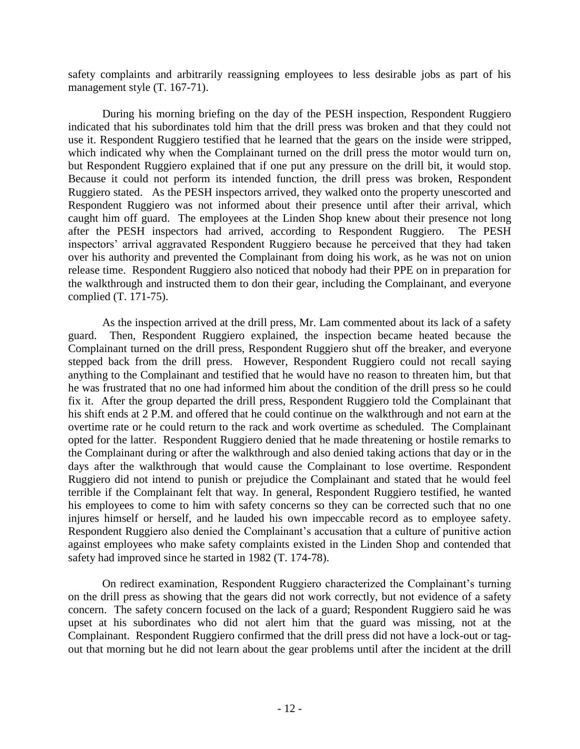safety complaints and arbitrarily reassigning employees to less desirable jobs as part of his management style (T. 167-71).

During his morning briefing on the day of the PESH inspection, Respondent Ruggiero indicated that his subordinates told him that the drill press was broken and that they could not use it. Respondent Ruggiero testified that he learned that the gears on the inside were stripped, which indicated why when the Complainant turned on the drill press the motor would turn on, but Respondent Ruggiero explained that if one put any pressure on the drill bit, it would stop. Because it could not perform its intended function, the drill press was broken, Respondent Ruggiero stated. As the PESH inspectors arrived, they walked onto the property unescorted and Respondent Ruggiero was not informed about their presence until after their arrival, which caught him off guard. The employees at the Linden Shop knew about their presence not long after the PESH inspectors had arrived, according to Respondent Ruggiero. The PESH inspectors" arrival aggravated Respondent Ruggiero because he perceived that they had taken over his authority and prevented the Complainant from doing his work, as he was not on union release time. Respondent Ruggiero also noticed that nobody had their PPE on in preparation for the walkthrough and instructed them to don their gear, including the Complainant, and everyone complied (T. 171-75).

As the inspection arrived at the drill press, Mr. Lam commented about its lack of a safety guard. Then, Respondent Ruggiero explained, the inspection became heated because the Complainant turned on the drill press, Respondent Ruggiero shut off the breaker, and everyone stepped back from the drill press. However, Respondent Ruggiero could not recall saying anything to the Complainant and testified that he would have no reason to threaten him, but that he was frustrated that no one had informed him about the condition of the drill press so he could fix it. After the group departed the drill press, Respondent Ruggiero told the Complainant that his shift ends at 2 P.M. and offered that he could continue on the walkthrough and not earn at the overtime rate or he could return to the rack and work overtime as scheduled. The Complainant opted for the latter. Respondent Ruggiero denied that he made threatening or hostile remarks to the Complainant during or after the walkthrough and also denied taking actions that day or in the days after the walkthrough that would cause the Complainant to lose overtime. Respondent Ruggiero did not intend to punish or prejudice the Complainant and stated that he would feel terrible if the Complainant felt that way. In general, Respondent Ruggiero testified, he wanted his employees to come to him with safety concerns so they can be corrected such that no one injures himself or herself, and he lauded his own impeccable record as to employee safety. Respondent Ruggiero also denied the Complainant's accusation that a culture of punitive action against employees who make safety complaints existed in the Linden Shop and contended that safety had improved since he started in 1982 (T. 174-78).

On redirect examination, Respondent Ruggiero characterized the Complainant"s turning on the drill press as showing that the gears did not work correctly, but not evidence of a safety concern. The safety concern focused on the lack of a guard; Respondent Ruggiero said he was upset at his subordinates who did not alert him that the guard was missing, not at the Complainant. Respondent Ruggiero confirmed that the drill press did not have a lock-out or tagout that morning but he did not learn about the gear problems until after the incident at the drill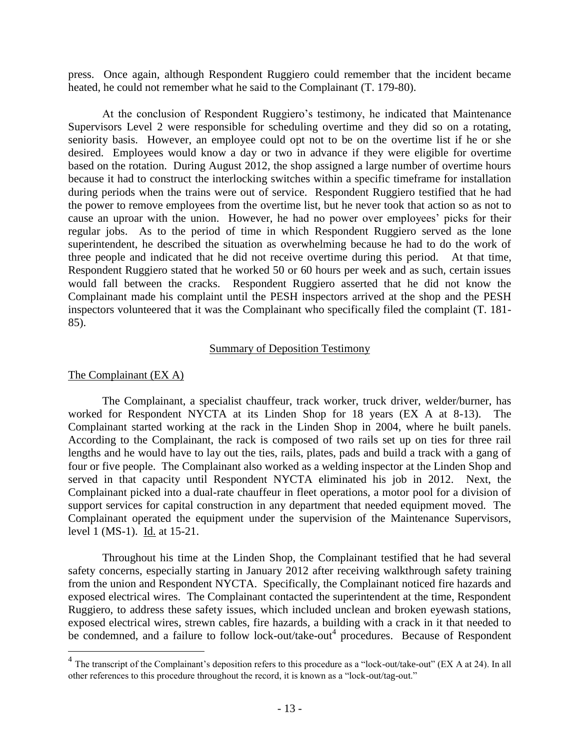press. Once again, although Respondent Ruggiero could remember that the incident became heated, he could not remember what he said to the Complainant (T. 179-80).

At the conclusion of Respondent Ruggiero"s testimony, he indicated that Maintenance Supervisors Level 2 were responsible for scheduling overtime and they did so on a rotating, seniority basis. However, an employee could opt not to be on the overtime list if he or she desired. Employees would know a day or two in advance if they were eligible for overtime based on the rotation. During August 2012, the shop assigned a large number of overtime hours because it had to construct the interlocking switches within a specific timeframe for installation during periods when the trains were out of service. Respondent Ruggiero testified that he had the power to remove employees from the overtime list, but he never took that action so as not to cause an uproar with the union. However, he had no power over employees' picks for their regular jobs. As to the period of time in which Respondent Ruggiero served as the lone superintendent, he described the situation as overwhelming because he had to do the work of three people and indicated that he did not receive overtime during this period. At that time, Respondent Ruggiero stated that he worked 50 or 60 hours per week and as such, certain issues would fall between the cracks. Respondent Ruggiero asserted that he did not know the Complainant made his complaint until the PESH inspectors arrived at the shop and the PESH inspectors volunteered that it was the Complainant who specifically filed the complaint (T. 181- 85).

#### Summary of Deposition Testimony

#### The Complainant (EX A)

The Complainant, a specialist chauffeur, track worker, truck driver, welder/burner, has worked for Respondent NYCTA at its Linden Shop for 18 years (EX A at 8-13). The Complainant started working at the rack in the Linden Shop in 2004, where he built panels. According to the Complainant, the rack is composed of two rails set up on ties for three rail lengths and he would have to lay out the ties, rails, plates, pads and build a track with a gang of four or five people. The Complainant also worked as a welding inspector at the Linden Shop and served in that capacity until Respondent NYCTA eliminated his job in 2012. Next, the Complainant picked into a dual-rate chauffeur in fleet operations, a motor pool for a division of support services for capital construction in any department that needed equipment moved. The Complainant operated the equipment under the supervision of the Maintenance Supervisors, level 1 (MS-1). Id. at 15-21.

Throughout his time at the Linden Shop, the Complainant testified that he had several safety concerns, especially starting in January 2012 after receiving walkthrough safety training from the union and Respondent NYCTA. Specifically, the Complainant noticed fire hazards and exposed electrical wires. The Complainant contacted the superintendent at the time, Respondent Ruggiero, to address these safety issues, which included unclean and broken eyewash stations, exposed electrical wires, strewn cables, fire hazards, a building with a crack in it that needed to be condemned, and a failure to follow lock-out/take-out<sup>4</sup> procedures. Because of Respondent

<sup>&</sup>lt;sup>4</sup> The transcript of the Complainant's deposition refers to this procedure as a "lock-out/take-out" (EX A at 24). In all other references to this procedure throughout the record, it is known as a "lock-out/tag-out."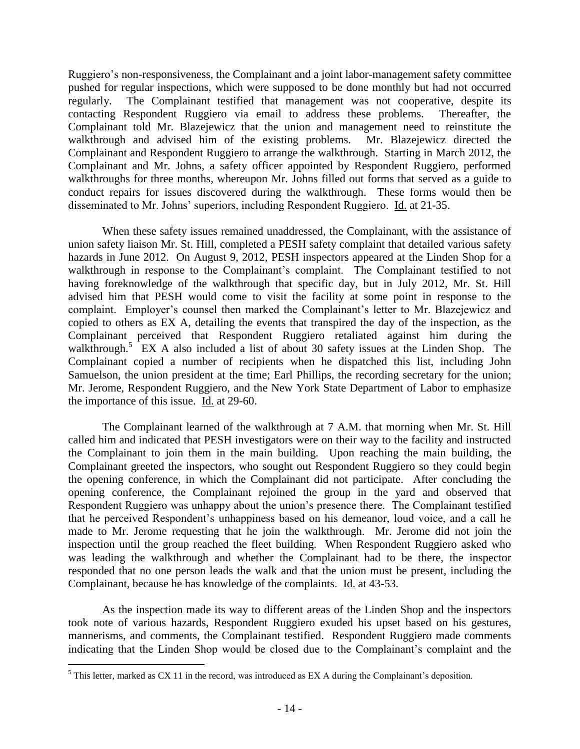Ruggiero"s non-responsiveness, the Complainant and a joint labor-management safety committee pushed for regular inspections, which were supposed to be done monthly but had not occurred regularly. The Complainant testified that management was not cooperative, despite its contacting Respondent Ruggiero via email to address these problems. Thereafter, the Complainant told Mr. Blazejewicz that the union and management need to reinstitute the walkthrough and advised him of the existing problems. Mr. Blazejewicz directed the Complainant and Respondent Ruggiero to arrange the walkthrough. Starting in March 2012, the Complainant and Mr. Johns, a safety officer appointed by Respondent Ruggiero, performed walkthroughs for three months, whereupon Mr. Johns filled out forms that served as a guide to conduct repairs for issues discovered during the walkthrough. These forms would then be disseminated to Mr. Johns" superiors, including Respondent Ruggiero. Id. at 21-35.

When these safety issues remained unaddressed, the Complainant, with the assistance of union safety liaison Mr. St. Hill, completed a PESH safety complaint that detailed various safety hazards in June 2012. On August 9, 2012, PESH inspectors appeared at the Linden Shop for a walkthrough in response to the Complainant's complaint. The Complainant testified to not having foreknowledge of the walkthrough that specific day, but in July 2012, Mr. St. Hill advised him that PESH would come to visit the facility at some point in response to the complaint. Employer's counsel then marked the Complainant's letter to Mr. Blazejewicz and copied to others as EX A, detailing the events that transpired the day of the inspection, as the Complainant perceived that Respondent Ruggiero retaliated against him during the walkthrough.<sup>5</sup> EX A also included a list of about 30 safety issues at the Linden Shop. The Complainant copied a number of recipients when he dispatched this list, including John Samuelson, the union president at the time; Earl Phillips, the recording secretary for the union; Mr. Jerome, Respondent Ruggiero, and the New York State Department of Labor to emphasize the importance of this issue. Id. at 29-60.

The Complainant learned of the walkthrough at 7 A.M. that morning when Mr. St. Hill called him and indicated that PESH investigators were on their way to the facility and instructed the Complainant to join them in the main building. Upon reaching the main building, the Complainant greeted the inspectors, who sought out Respondent Ruggiero so they could begin the opening conference, in which the Complainant did not participate. After concluding the opening conference, the Complainant rejoined the group in the yard and observed that Respondent Ruggiero was unhappy about the union"s presence there. The Complainant testified that he perceived Respondent"s unhappiness based on his demeanor, loud voice, and a call he made to Mr. Jerome requesting that he join the walkthrough. Mr. Jerome did not join the inspection until the group reached the fleet building. When Respondent Ruggiero asked who was leading the walkthrough and whether the Complainant had to be there, the inspector responded that no one person leads the walk and that the union must be present, including the Complainant, because he has knowledge of the complaints. Id. at 43-53.

As the inspection made its way to different areas of the Linden Shop and the inspectors took note of various hazards, Respondent Ruggiero exuded his upset based on his gestures, mannerisms, and comments, the Complainant testified. Respondent Ruggiero made comments indicating that the Linden Shop would be closed due to the Complainant's complaint and the

 $\overline{a}$ 

 $<sup>5</sup>$  This letter, marked as CX 11 in the record, was introduced as EX A during the Complainant's deposition.</sup>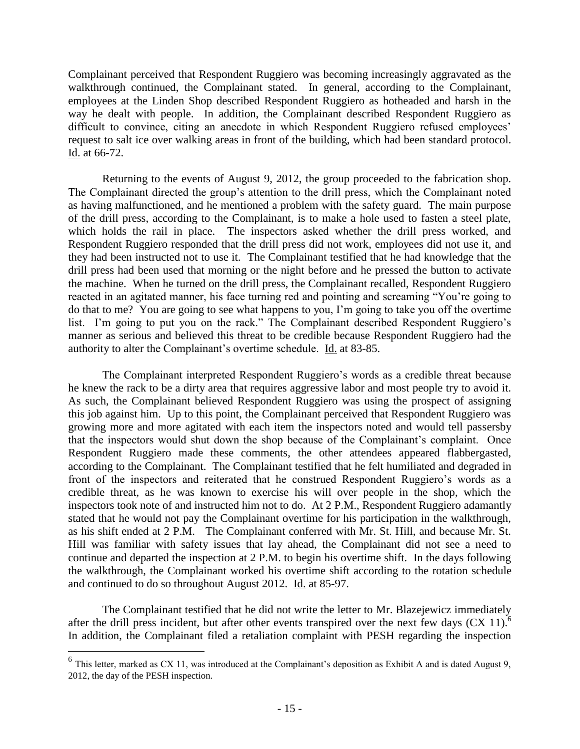Complainant perceived that Respondent Ruggiero was becoming increasingly aggravated as the walkthrough continued, the Complainant stated. In general, according to the Complainant, employees at the Linden Shop described Respondent Ruggiero as hotheaded and harsh in the way he dealt with people. In addition, the Complainant described Respondent Ruggiero as difficult to convince, citing an anecdote in which Respondent Ruggiero refused employees' request to salt ice over walking areas in front of the building, which had been standard protocol. Id. at 66-72.

Returning to the events of August 9, 2012, the group proceeded to the fabrication shop. The Complainant directed the group"s attention to the drill press, which the Complainant noted as having malfunctioned, and he mentioned a problem with the safety guard. The main purpose of the drill press, according to the Complainant, is to make a hole used to fasten a steel plate, which holds the rail in place. The inspectors asked whether the drill press worked, and Respondent Ruggiero responded that the drill press did not work, employees did not use it, and they had been instructed not to use it. The Complainant testified that he had knowledge that the drill press had been used that morning or the night before and he pressed the button to activate the machine. When he turned on the drill press, the Complainant recalled, Respondent Ruggiero reacted in an agitated manner, his face turning red and pointing and screaming "You"re going to do that to me? You are going to see what happens to you, I"m going to take you off the overtime list. I'm going to put you on the rack." The Complainant described Respondent Ruggiero's manner as serious and believed this threat to be credible because Respondent Ruggiero had the authority to alter the Complainant's overtime schedule. Id. at 83-85.

The Complainant interpreted Respondent Ruggiero's words as a credible threat because he knew the rack to be a dirty area that requires aggressive labor and most people try to avoid it. As such, the Complainant believed Respondent Ruggiero was using the prospect of assigning this job against him. Up to this point, the Complainant perceived that Respondent Ruggiero was growing more and more agitated with each item the inspectors noted and would tell passersby that the inspectors would shut down the shop because of the Complainant's complaint. Once Respondent Ruggiero made these comments, the other attendees appeared flabbergasted, according to the Complainant. The Complainant testified that he felt humiliated and degraded in front of the inspectors and reiterated that he construed Respondent Ruggiero"s words as a credible threat, as he was known to exercise his will over people in the shop, which the inspectors took note of and instructed him not to do. At 2 P.M., Respondent Ruggiero adamantly stated that he would not pay the Complainant overtime for his participation in the walkthrough, as his shift ended at 2 P.M. The Complainant conferred with Mr. St. Hill, and because Mr. St. Hill was familiar with safety issues that lay ahead, the Complainant did not see a need to continue and departed the inspection at 2 P.M. to begin his overtime shift. In the days following the walkthrough, the Complainant worked his overtime shift according to the rotation schedule and continued to do so throughout August 2012. Id. at 85-97.

The Complainant testified that he did not write the letter to Mr. Blazejewicz immediately after the drill press incident, but after other events transpired over the next few days  $(CX 11)$ .<sup>6</sup> In addition, the Complainant filed a retaliation complaint with PESH regarding the inspection

<sup>&</sup>lt;sup>6</sup> This letter, marked as CX 11, was introduced at the Complainant's deposition as Exhibit A and is dated August 9, 2012, the day of the PESH inspection.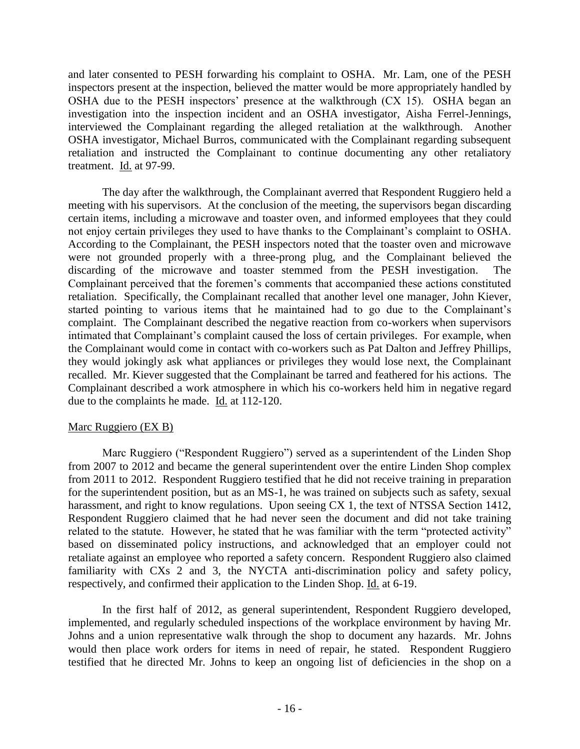and later consented to PESH forwarding his complaint to OSHA. Mr. Lam, one of the PESH inspectors present at the inspection, believed the matter would be more appropriately handled by OSHA due to the PESH inspectors' presence at the walkthrough (CX 15). OSHA began an investigation into the inspection incident and an OSHA investigator, Aisha Ferrel-Jennings, interviewed the Complainant regarding the alleged retaliation at the walkthrough. Another OSHA investigator, Michael Burros, communicated with the Complainant regarding subsequent retaliation and instructed the Complainant to continue documenting any other retaliatory treatment. Id. at 97-99.

The day after the walkthrough, the Complainant averred that Respondent Ruggiero held a meeting with his supervisors. At the conclusion of the meeting, the supervisors began discarding certain items, including a microwave and toaster oven, and informed employees that they could not enjoy certain privileges they used to have thanks to the Complainant"s complaint to OSHA. According to the Complainant, the PESH inspectors noted that the toaster oven and microwave were not grounded properly with a three-prong plug, and the Complainant believed the discarding of the microwave and toaster stemmed from the PESH investigation. The Complainant perceived that the foremen"s comments that accompanied these actions constituted retaliation. Specifically, the Complainant recalled that another level one manager, John Kiever, started pointing to various items that he maintained had to go due to the Complainant's complaint. The Complainant described the negative reaction from co-workers when supervisors intimated that Complainant's complaint caused the loss of certain privileges. For example, when the Complainant would come in contact with co-workers such as Pat Dalton and Jeffrey Phillips, they would jokingly ask what appliances or privileges they would lose next, the Complainant recalled. Mr. Kiever suggested that the Complainant be tarred and feathered for his actions. The Complainant described a work atmosphere in which his co-workers held him in negative regard due to the complaints he made. Id. at 112-120.

### Marc Ruggiero (EX B)

Marc Ruggiero ("Respondent Ruggiero") served as a superintendent of the Linden Shop from 2007 to 2012 and became the general superintendent over the entire Linden Shop complex from 2011 to 2012. Respondent Ruggiero testified that he did not receive training in preparation for the superintendent position, but as an MS-1, he was trained on subjects such as safety, sexual harassment, and right to know regulations. Upon seeing CX 1, the text of NTSSA Section 1412, Respondent Ruggiero claimed that he had never seen the document and did not take training related to the statute. However, he stated that he was familiar with the term "protected activity" based on disseminated policy instructions, and acknowledged that an employer could not retaliate against an employee who reported a safety concern. Respondent Ruggiero also claimed familiarity with CXs 2 and 3, the NYCTA anti-discrimination policy and safety policy, respectively, and confirmed their application to the Linden Shop. Id. at 6-19.

In the first half of 2012, as general superintendent, Respondent Ruggiero developed, implemented, and regularly scheduled inspections of the workplace environment by having Mr. Johns and a union representative walk through the shop to document any hazards. Mr. Johns would then place work orders for items in need of repair, he stated. Respondent Ruggiero testified that he directed Mr. Johns to keep an ongoing list of deficiencies in the shop on a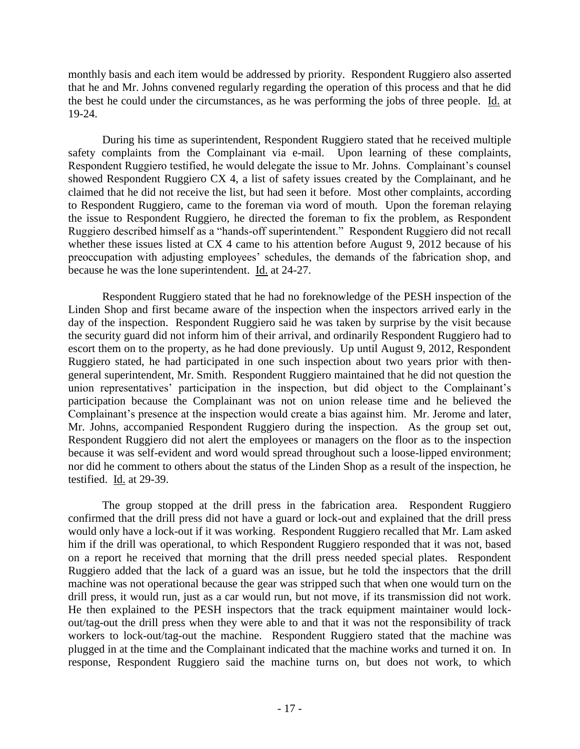monthly basis and each item would be addressed by priority. Respondent Ruggiero also asserted that he and Mr. Johns convened regularly regarding the operation of this process and that he did the best he could under the circumstances, as he was performing the jobs of three people. Id. at 19-24.

During his time as superintendent, Respondent Ruggiero stated that he received multiple safety complaints from the Complainant via e-mail. Upon learning of these complaints, Respondent Ruggiero testified, he would delegate the issue to Mr. Johns. Complainant's counsel showed Respondent Ruggiero CX 4, a list of safety issues created by the Complainant, and he claimed that he did not receive the list, but had seen it before. Most other complaints, according to Respondent Ruggiero, came to the foreman via word of mouth. Upon the foreman relaying the issue to Respondent Ruggiero, he directed the foreman to fix the problem, as Respondent Ruggiero described himself as a "hands-off superintendent." Respondent Ruggiero did not recall whether these issues listed at CX 4 came to his attention before August 9, 2012 because of his preoccupation with adjusting employees" schedules, the demands of the fabrication shop, and because he was the lone superintendent. Id. at 24-27.

Respondent Ruggiero stated that he had no foreknowledge of the PESH inspection of the Linden Shop and first became aware of the inspection when the inspectors arrived early in the day of the inspection. Respondent Ruggiero said he was taken by surprise by the visit because the security guard did not inform him of their arrival, and ordinarily Respondent Ruggiero had to escort them on to the property, as he had done previously. Up until August 9, 2012, Respondent Ruggiero stated, he had participated in one such inspection about two years prior with thengeneral superintendent, Mr. Smith. Respondent Ruggiero maintained that he did not question the union representatives' participation in the inspection, but did object to the Complainant's participation because the Complainant was not on union release time and he believed the Complainant's presence at the inspection would create a bias against him. Mr. Jerome and later, Mr. Johns, accompanied Respondent Ruggiero during the inspection. As the group set out, Respondent Ruggiero did not alert the employees or managers on the floor as to the inspection because it was self-evident and word would spread throughout such a loose-lipped environment; nor did he comment to others about the status of the Linden Shop as a result of the inspection, he testified. Id. at 29-39.

The group stopped at the drill press in the fabrication area. Respondent Ruggiero confirmed that the drill press did not have a guard or lock-out and explained that the drill press would only have a lock-out if it was working. Respondent Ruggiero recalled that Mr. Lam asked him if the drill was operational, to which Respondent Ruggiero responded that it was not, based on a report he received that morning that the drill press needed special plates. Respondent Ruggiero added that the lack of a guard was an issue, but he told the inspectors that the drill machine was not operational because the gear was stripped such that when one would turn on the drill press, it would run, just as a car would run, but not move, if its transmission did not work. He then explained to the PESH inspectors that the track equipment maintainer would lockout/tag-out the drill press when they were able to and that it was not the responsibility of track workers to lock-out/tag-out the machine. Respondent Ruggiero stated that the machine was plugged in at the time and the Complainant indicated that the machine works and turned it on. In response, Respondent Ruggiero said the machine turns on, but does not work, to which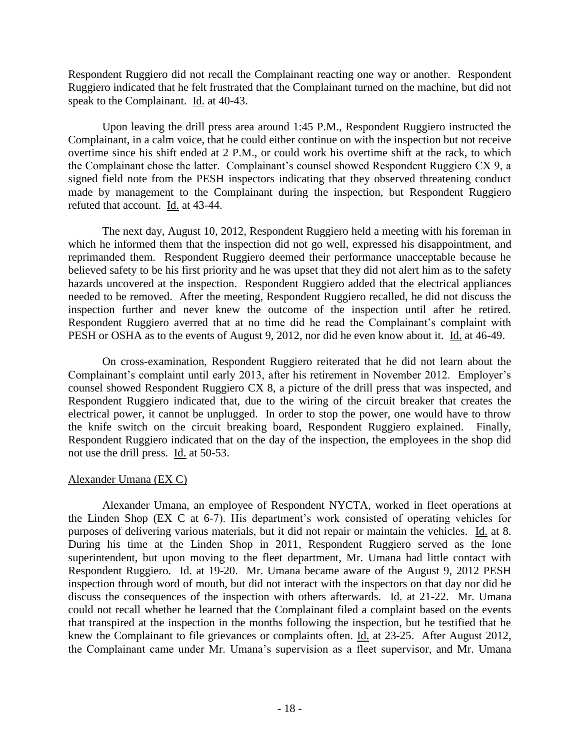Respondent Ruggiero did not recall the Complainant reacting one way or another. Respondent Ruggiero indicated that he felt frustrated that the Complainant turned on the machine, but did not speak to the Complainant. Id. at 40-43.

Upon leaving the drill press area around 1:45 P.M., Respondent Ruggiero instructed the Complainant, in a calm voice, that he could either continue on with the inspection but not receive overtime since his shift ended at 2 P.M., or could work his overtime shift at the rack, to which the Complainant chose the latter. Complainant"s counsel showed Respondent Ruggiero CX 9, a signed field note from the PESH inspectors indicating that they observed threatening conduct made by management to the Complainant during the inspection, but Respondent Ruggiero refuted that account. Id. at 43-44.

The next day, August 10, 2012, Respondent Ruggiero held a meeting with his foreman in which he informed them that the inspection did not go well, expressed his disappointment, and reprimanded them. Respondent Ruggiero deemed their performance unacceptable because he believed safety to be his first priority and he was upset that they did not alert him as to the safety hazards uncovered at the inspection. Respondent Ruggiero added that the electrical appliances needed to be removed. After the meeting, Respondent Ruggiero recalled, he did not discuss the inspection further and never knew the outcome of the inspection until after he retired. Respondent Ruggiero averred that at no time did he read the Complainant's complaint with PESH or OSHA as to the events of August 9, 2012, nor did he even know about it. Id. at 46-49.

On cross-examination, Respondent Ruggiero reiterated that he did not learn about the Complainant's complaint until early 2013, after his retirement in November 2012. Employer's counsel showed Respondent Ruggiero CX 8, a picture of the drill press that was inspected, and Respondent Ruggiero indicated that, due to the wiring of the circuit breaker that creates the electrical power, it cannot be unplugged. In order to stop the power, one would have to throw the knife switch on the circuit breaking board, Respondent Ruggiero explained. Finally, Respondent Ruggiero indicated that on the day of the inspection, the employees in the shop did not use the drill press. Id. at 50-53.

# Alexander Umana (EX C)

Alexander Umana, an employee of Respondent NYCTA, worked in fleet operations at the Linden Shop (EX C at 6-7). His department"s work consisted of operating vehicles for purposes of delivering various materials, but it did not repair or maintain the vehicles. Id. at 8. During his time at the Linden Shop in 2011, Respondent Ruggiero served as the lone superintendent, but upon moving to the fleet department, Mr. Umana had little contact with Respondent Ruggiero. Id. at 19-20. Mr. Umana became aware of the August 9, 2012 PESH inspection through word of mouth, but did not interact with the inspectors on that day nor did he discuss the consequences of the inspection with others afterwards. Id. at 21-22. Mr. Umana could not recall whether he learned that the Complainant filed a complaint based on the events that transpired at the inspection in the months following the inspection, but he testified that he knew the Complainant to file grievances or complaints often. Id. at 23-25. After August 2012, the Complainant came under Mr. Umana"s supervision as a fleet supervisor, and Mr. Umana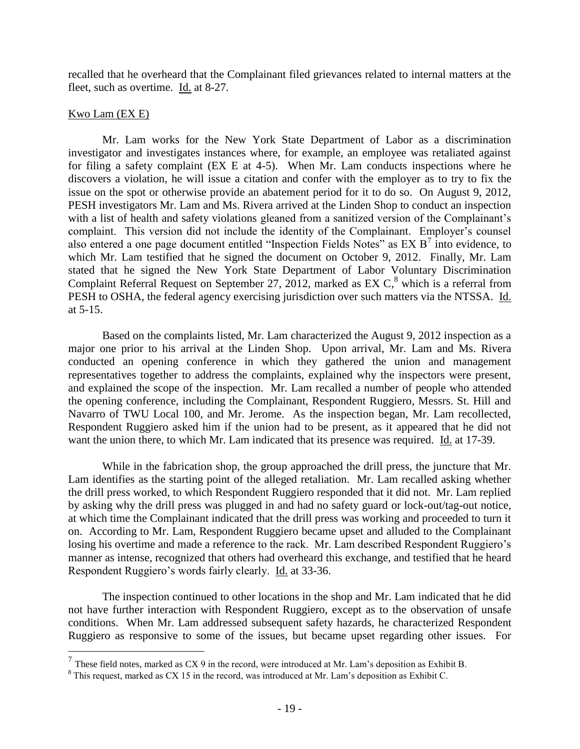recalled that he overheard that the Complainant filed grievances related to internal matters at the fleet, such as overtime. Id. at 8-27.

#### Kwo Lam (EX E)

 $\overline{a}$ 

Mr. Lam works for the New York State Department of Labor as a discrimination investigator and investigates instances where, for example, an employee was retaliated against for filing a safety complaint (EX E at 4-5). When Mr. Lam conducts inspections where he discovers a violation, he will issue a citation and confer with the employer as to try to fix the issue on the spot or otherwise provide an abatement period for it to do so. On August 9, 2012, PESH investigators Mr. Lam and Ms. Rivera arrived at the Linden Shop to conduct an inspection with a list of health and safety violations gleaned from a sanitized version of the Complainant's complaint. This version did not include the identity of the Complainant. Employer's counsel also entered a one page document entitled "Inspection Fields Notes" as  $EX B<sup>7</sup>$  into evidence, to which Mr. Lam testified that he signed the document on October 9, 2012. Finally, Mr. Lam stated that he signed the New York State Department of Labor Voluntary Discrimination Complaint Referral Request on September 27, 2012, marked as EX C,<sup>8</sup> which is a referral from PESH to OSHA, the federal agency exercising jurisdiction over such matters via the NTSSA. Id. at 5-15.

Based on the complaints listed, Mr. Lam characterized the August 9, 2012 inspection as a major one prior to his arrival at the Linden Shop. Upon arrival, Mr. Lam and Ms. Rivera conducted an opening conference in which they gathered the union and management representatives together to address the complaints, explained why the inspectors were present, and explained the scope of the inspection. Mr. Lam recalled a number of people who attended the opening conference, including the Complainant, Respondent Ruggiero, Messrs. St. Hill and Navarro of TWU Local 100, and Mr. Jerome. As the inspection began, Mr. Lam recollected, Respondent Ruggiero asked him if the union had to be present, as it appeared that he did not want the union there, to which Mr. Lam indicated that its presence was required. Id. at 17-39.

While in the fabrication shop, the group approached the drill press, the juncture that Mr. Lam identifies as the starting point of the alleged retaliation. Mr. Lam recalled asking whether the drill press worked, to which Respondent Ruggiero responded that it did not. Mr. Lam replied by asking why the drill press was plugged in and had no safety guard or lock-out/tag-out notice, at which time the Complainant indicated that the drill press was working and proceeded to turn it on. According to Mr. Lam, Respondent Ruggiero became upset and alluded to the Complainant losing his overtime and made a reference to the rack. Mr. Lam described Respondent Ruggiero's manner as intense, recognized that others had overheard this exchange, and testified that he heard Respondent Ruggiero"s words fairly clearly. Id. at 33-36.

The inspection continued to other locations in the shop and Mr. Lam indicated that he did not have further interaction with Respondent Ruggiero, except as to the observation of unsafe conditions. When Mr. Lam addressed subsequent safety hazards, he characterized Respondent Ruggiero as responsive to some of the issues, but became upset regarding other issues. For

<sup>&</sup>lt;sup>7</sup> These field notes, marked as CX 9 in the record, were introduced at Mr. Lam's deposition as Exhibit B.

<sup>&</sup>lt;sup>8</sup> This request, marked as CX 15 in the record, was introduced at Mr. Lam's deposition as Exhibit C.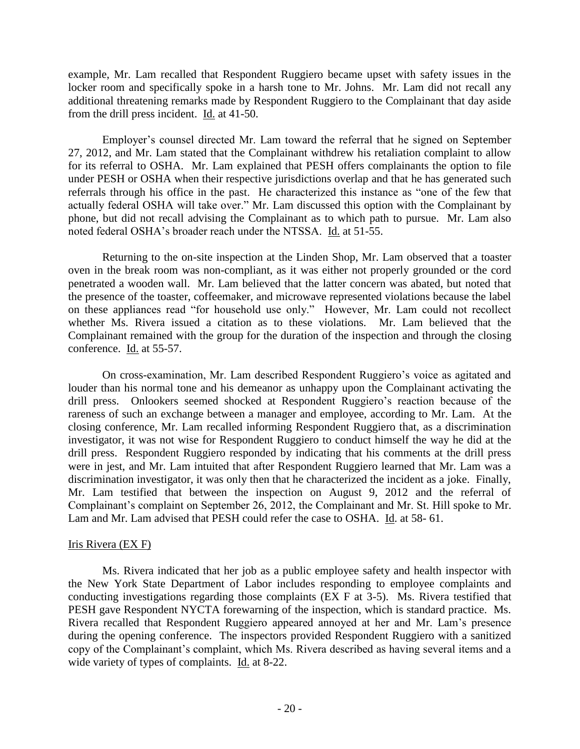example, Mr. Lam recalled that Respondent Ruggiero became upset with safety issues in the locker room and specifically spoke in a harsh tone to Mr. Johns. Mr. Lam did not recall any additional threatening remarks made by Respondent Ruggiero to the Complainant that day aside from the drill press incident. Id. at 41-50.

Employer"s counsel directed Mr. Lam toward the referral that he signed on September 27, 2012, and Mr. Lam stated that the Complainant withdrew his retaliation complaint to allow for its referral to OSHA. Mr. Lam explained that PESH offers complainants the option to file under PESH or OSHA when their respective jurisdictions overlap and that he has generated such referrals through his office in the past. He characterized this instance as "one of the few that actually federal OSHA will take over." Mr. Lam discussed this option with the Complainant by phone, but did not recall advising the Complainant as to which path to pursue. Mr. Lam also noted federal OSHA"s broader reach under the NTSSA. Id. at 51-55.

Returning to the on-site inspection at the Linden Shop, Mr. Lam observed that a toaster oven in the break room was non-compliant, as it was either not properly grounded or the cord penetrated a wooden wall. Mr. Lam believed that the latter concern was abated, but noted that the presence of the toaster, coffeemaker, and microwave represented violations because the label on these appliances read "for household use only." However, Mr. Lam could not recollect whether Ms. Rivera issued a citation as to these violations. Mr. Lam believed that the Complainant remained with the group for the duration of the inspection and through the closing conference. Id. at 55-57.

On cross-examination, Mr. Lam described Respondent Ruggiero"s voice as agitated and louder than his normal tone and his demeanor as unhappy upon the Complainant activating the drill press. Onlookers seemed shocked at Respondent Ruggiero"s reaction because of the rareness of such an exchange between a manager and employee, according to Mr. Lam. At the closing conference, Mr. Lam recalled informing Respondent Ruggiero that, as a discrimination investigator, it was not wise for Respondent Ruggiero to conduct himself the way he did at the drill press. Respondent Ruggiero responded by indicating that his comments at the drill press were in jest, and Mr. Lam intuited that after Respondent Ruggiero learned that Mr. Lam was a discrimination investigator, it was only then that he characterized the incident as a joke. Finally, Mr. Lam testified that between the inspection on August 9, 2012 and the referral of Complainant"s complaint on September 26, 2012, the Complainant and Mr. St. Hill spoke to Mr. Lam and Mr. Lam advised that PESH could refer the case to OSHA. Id. at 58- 61.

# Iris Rivera (EX F)

Ms. Rivera indicated that her job as a public employee safety and health inspector with the New York State Department of Labor includes responding to employee complaints and conducting investigations regarding those complaints (EX F at 3-5). Ms. Rivera testified that PESH gave Respondent NYCTA forewarning of the inspection, which is standard practice. Ms. Rivera recalled that Respondent Ruggiero appeared annoyed at her and Mr. Lam"s presence during the opening conference. The inspectors provided Respondent Ruggiero with a sanitized copy of the Complainant"s complaint, which Ms. Rivera described as having several items and a wide variety of types of complaints. Id. at 8-22.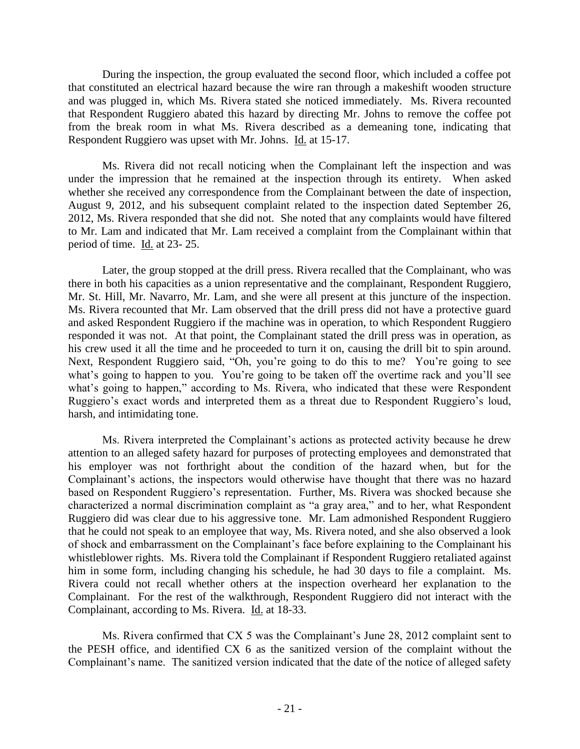During the inspection, the group evaluated the second floor, which included a coffee pot that constituted an electrical hazard because the wire ran through a makeshift wooden structure and was plugged in, which Ms. Rivera stated she noticed immediately. Ms. Rivera recounted that Respondent Ruggiero abated this hazard by directing Mr. Johns to remove the coffee pot from the break room in what Ms. Rivera described as a demeaning tone, indicating that Respondent Ruggiero was upset with Mr. Johns. Id. at 15-17.

Ms. Rivera did not recall noticing when the Complainant left the inspection and was under the impression that he remained at the inspection through its entirety. When asked whether she received any correspondence from the Complainant between the date of inspection, August 9, 2012, and his subsequent complaint related to the inspection dated September 26, 2012, Ms. Rivera responded that she did not. She noted that any complaints would have filtered to Mr. Lam and indicated that Mr. Lam received a complaint from the Complainant within that period of time. Id. at 23- 25.

Later, the group stopped at the drill press. Rivera recalled that the Complainant, who was there in both his capacities as a union representative and the complainant, Respondent Ruggiero, Mr. St. Hill, Mr. Navarro, Mr. Lam, and she were all present at this juncture of the inspection. Ms. Rivera recounted that Mr. Lam observed that the drill press did not have a protective guard and asked Respondent Ruggiero if the machine was in operation, to which Respondent Ruggiero responded it was not. At that point, the Complainant stated the drill press was in operation, as his crew used it all the time and he proceeded to turn it on, causing the drill bit to spin around. Next, Respondent Ruggiero said, "Oh, you"re going to do this to me? You"re going to see what's going to happen to you. You're going to be taken off the overtime rack and you'll see what's going to happen," according to Ms. Rivera, who indicated that these were Respondent Ruggiero"s exact words and interpreted them as a threat due to Respondent Ruggiero"s loud, harsh, and intimidating tone.

Ms. Rivera interpreted the Complainant"s actions as protected activity because he drew attention to an alleged safety hazard for purposes of protecting employees and demonstrated that his employer was not forthright about the condition of the hazard when, but for the Complainant's actions, the inspectors would otherwise have thought that there was no hazard based on Respondent Ruggiero"s representation. Further, Ms. Rivera was shocked because she characterized a normal discrimination complaint as "a gray area," and to her, what Respondent Ruggiero did was clear due to his aggressive tone. Mr. Lam admonished Respondent Ruggiero that he could not speak to an employee that way, Ms. Rivera noted, and she also observed a look of shock and embarrassment on the Complainant"s face before explaining to the Complainant his whistleblower rights. Ms. Rivera told the Complainant if Respondent Ruggiero retaliated against him in some form, including changing his schedule, he had 30 days to file a complaint. Ms. Rivera could not recall whether others at the inspection overheard her explanation to the Complainant. For the rest of the walkthrough, Respondent Ruggiero did not interact with the Complainant, according to Ms. Rivera. Id. at 18-33.

Ms. Rivera confirmed that CX 5 was the Complainant's June 28, 2012 complaint sent to the PESH office, and identified CX 6 as the sanitized version of the complaint without the Complainant's name. The sanitized version indicated that the date of the notice of alleged safety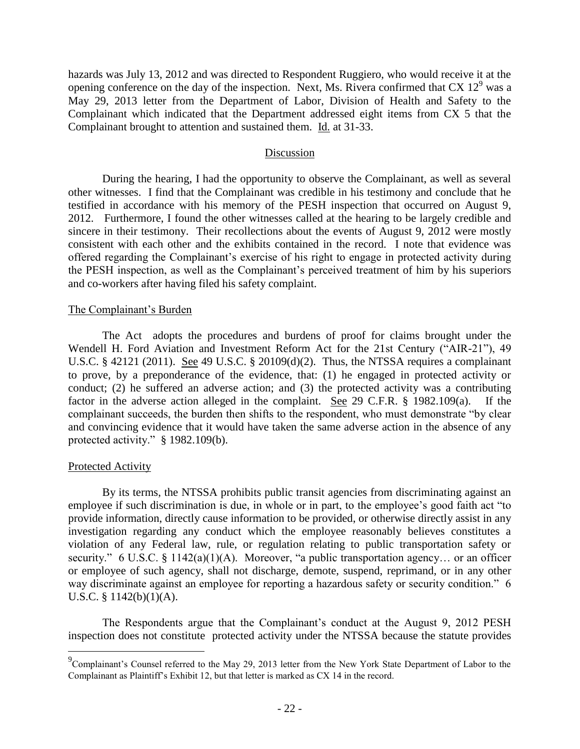hazards was July 13, 2012 and was directed to Respondent Ruggiero, who would receive it at the opening conference on the day of the inspection. Next, Ms. Rivera confirmed that  $CX 12<sup>9</sup>$  was a May 29, 2013 letter from the Department of Labor, Division of Health and Safety to the Complainant which indicated that the Department addressed eight items from CX 5 that the Complainant brought to attention and sustained them. Id. at 31-33.

#### Discussion

During the hearing, I had the opportunity to observe the Complainant, as well as several other witnesses. I find that the Complainant was credible in his testimony and conclude that he testified in accordance with his memory of the PESH inspection that occurred on August 9, 2012. Furthermore, I found the other witnesses called at the hearing to be largely credible and sincere in their testimony. Their recollections about the events of August 9, 2012 were mostly consistent with each other and the exhibits contained in the record. I note that evidence was offered regarding the Complainant"s exercise of his right to engage in protected activity during the PESH inspection, as well as the Complainant"s perceived treatment of him by his superiors and co-workers after having filed his safety complaint.

#### The Complainant's Burden

The Act adopts the procedures and burdens of proof for claims brought under the Wendell H. Ford Aviation and Investment Reform Act for the 21st Century ("AIR-21"), 49 U.S.C. § 42121 (2011). See 49 U.S.C. § 20109(d)(2). Thus, the NTSSA requires a complainant to prove, by a preponderance of the evidence, that: (1) he engaged in protected activity or conduct; (2) he suffered an adverse action; and (3) the protected activity was a contributing factor in the adverse action alleged in the complaint. See 29 C.F.R. § 1982.109(a). If the complainant succeeds, the burden then shifts to the respondent, who must demonstrate "by clear and convincing evidence that it would have taken the same adverse action in the absence of any protected activity." § 1982.109(b).

### Protected Activity

 $\overline{a}$ 

By its terms, the NTSSA prohibits public transit agencies from discriminating against an employee if such discrimination is due, in whole or in part, to the employee's good faith act "to" provide information, directly cause information to be provided, or otherwise directly assist in any investigation regarding any conduct which the employee reasonably believes constitutes a violation of any Federal law, rule, or regulation relating to public transportation safety or security." 6 U.S.C. § 1142(a)(1)(A). Moreover, "a public transportation agency... or an officer or employee of such agency, shall not discharge, demote, suspend, reprimand, or in any other way discriminate against an employee for reporting a hazardous safety or security condition." 6 U.S.C. § 1142(b)(1)(A).

The Respondents argue that the Complainant's conduct at the August 9, 2012 PESH inspection does not constitute protected activity under the NTSSA because the statute provides

<sup>&</sup>lt;sup>9</sup>Complainant's Counsel referred to the May 29, 2013 letter from the New York State Department of Labor to the Complainant as Plaintiff"s Exhibit 12, but that letter is marked as CX 14 in the record.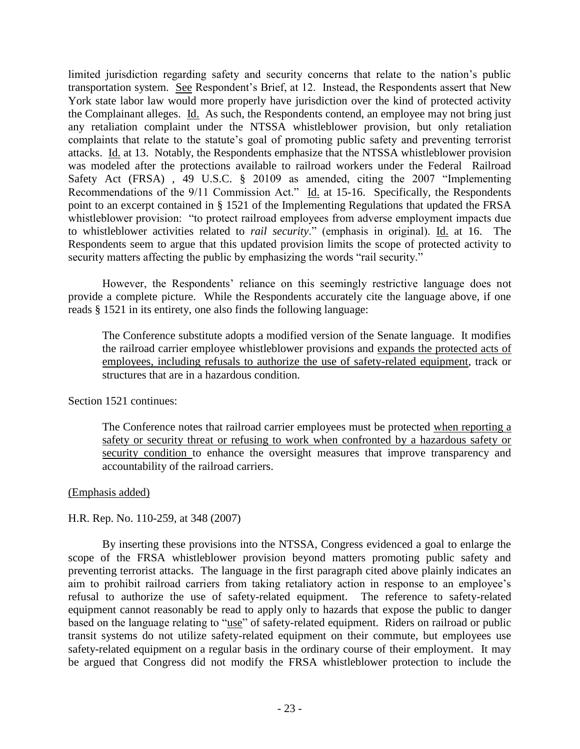limited jurisdiction regarding safety and security concerns that relate to the nation"s public transportation system. See Respondent"s Brief, at 12. Instead, the Respondents assert that New York state labor law would more properly have jurisdiction over the kind of protected activity the Complainant alleges. Id. As such, the Respondents contend, an employee may not bring just any retaliation complaint under the NTSSA whistleblower provision, but only retaliation complaints that relate to the statute"s goal of promoting public safety and preventing terrorist attacks. Id. at 13. Notably, the Respondents emphasize that the NTSSA whistleblower provision was modeled after the protections available to railroad workers under the Federal Railroad Safety Act (FRSA) , 49 U.S.C. § 20109 as amended, citing the 2007 "Implementing Recommendations of the 9/11 Commission Act." Id. at 15-16. Specifically, the Respondents point to an excerpt contained in § 1521 of the Implementing Regulations that updated the FRSA whistleblower provision: "to protect railroad employees from adverse employment impacts due to whistleblower activities related to *rail security*." (emphasis in original). Id. at 16. The Respondents seem to argue that this updated provision limits the scope of protected activity to security matters affecting the public by emphasizing the words "rail security."

However, the Respondents' reliance on this seemingly restrictive language does not provide a complete picture. While the Respondents accurately cite the language above, if one reads § 1521 in its entirety, one also finds the following language:

The Conference substitute adopts a modified version of the Senate language. It modifies the railroad carrier employee whistleblower provisions and expands the protected acts of employees, including refusals to authorize the use of safety-related equipment, track or structures that are in a hazardous condition.

Section 1521 continues:

The Conference notes that railroad carrier employees must be protected when reporting a safety or security threat or refusing to work when confronted by a hazardous safety or security condition to enhance the oversight measures that improve transparency and accountability of the railroad carriers.

(Emphasis added)

H.R. Rep. No. 110-259, at 348 (2007)

By inserting these provisions into the NTSSA, Congress evidenced a goal to enlarge the scope of the FRSA whistleblower provision beyond matters promoting public safety and preventing terrorist attacks. The language in the first paragraph cited above plainly indicates an aim to prohibit railroad carriers from taking retaliatory action in response to an employee"s refusal to authorize the use of safety-related equipment. The reference to safety-related equipment cannot reasonably be read to apply only to hazards that expose the public to danger based on the language relating to "use" of safety-related equipment. Riders on railroad or public transit systems do not utilize safety-related equipment on their commute, but employees use safety-related equipment on a regular basis in the ordinary course of their employment. It may be argued that Congress did not modify the FRSA whistleblower protection to include the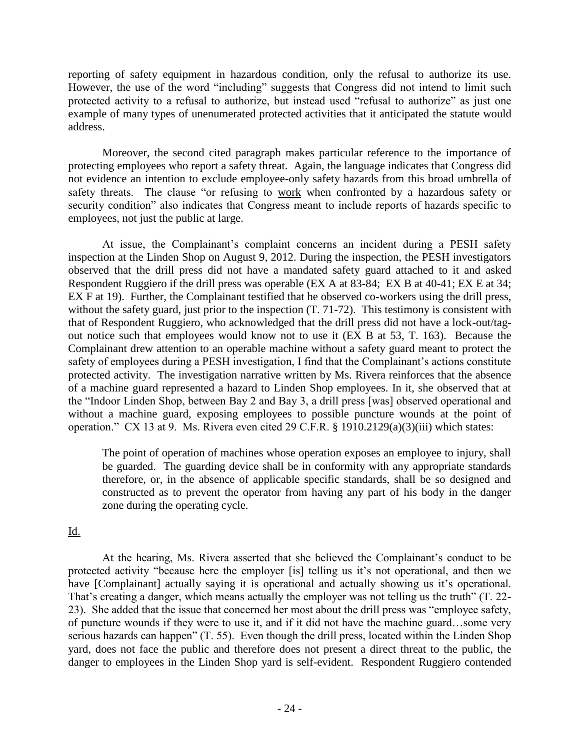reporting of safety equipment in hazardous condition, only the refusal to authorize its use. However, the use of the word "including" suggests that Congress did not intend to limit such protected activity to a refusal to authorize, but instead used "refusal to authorize" as just one example of many types of unenumerated protected activities that it anticipated the statute would address.

Moreover, the second cited paragraph makes particular reference to the importance of protecting employees who report a safety threat. Again, the language indicates that Congress did not evidence an intention to exclude employee-only safety hazards from this broad umbrella of safety threats. The clause "or refusing to work when confronted by a hazardous safety or security condition" also indicates that Congress meant to include reports of hazards specific to employees, not just the public at large.

At issue, the Complainant's complaint concerns an incident during a PESH safety inspection at the Linden Shop on August 9, 2012. During the inspection, the PESH investigators observed that the drill press did not have a mandated safety guard attached to it and asked Respondent Ruggiero if the drill press was operable (EX A at 83-84; EX B at 40-41; EX E at 34; EX F at 19). Further, the Complainant testified that he observed co-workers using the drill press, without the safety guard, just prior to the inspection  $(T, 71-72)$ . This testimony is consistent with that of Respondent Ruggiero, who acknowledged that the drill press did not have a lock-out/tagout notice such that employees would know not to use it (EX B at 53, T. 163). Because the Complainant drew attention to an operable machine without a safety guard meant to protect the safety of employees during a PESH investigation, I find that the Complainant's actions constitute protected activity. The investigation narrative written by Ms. Rivera reinforces that the absence of a machine guard represented a hazard to Linden Shop employees. In it, she observed that at the "Indoor Linden Shop, between Bay 2 and Bay 3, a drill press [was] observed operational and without a machine guard, exposing employees to possible puncture wounds at the point of operation." CX 13 at 9. Ms. Rivera even cited 29 C.F.R. § 1910.2129(a)(3)(iii) which states:

The point of operation of machines whose operation exposes an employee to injury, shall be guarded. The guarding device shall be in conformity with any appropriate standards therefore, or, in the absence of applicable specific standards, shall be so designed and constructed as to prevent the operator from having any part of his body in the danger zone during the operating cycle.

# Id.

At the hearing, Ms. Rivera asserted that she believed the Complainant"s conduct to be protected activity "because here the employer [is] telling us it's not operational, and then we have [Complainant] actually saying it is operational and actually showing us it's operational. That's creating a danger, which means actually the employer was not telling us the truth" (T. 22-23). She added that the issue that concerned her most about the drill press was "employee safety, of puncture wounds if they were to use it, and if it did not have the machine guard…some very serious hazards can happen" (T. 55). Even though the drill press, located within the Linden Shop yard, does not face the public and therefore does not present a direct threat to the public, the danger to employees in the Linden Shop yard is self-evident. Respondent Ruggiero contended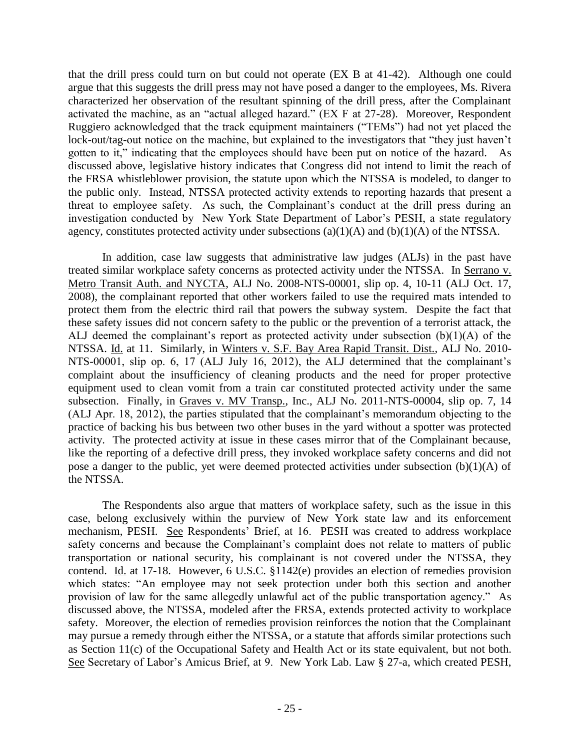that the drill press could turn on but could not operate (EX B at 41-42). Although one could argue that this suggests the drill press may not have posed a danger to the employees, Ms. Rivera characterized her observation of the resultant spinning of the drill press, after the Complainant activated the machine, as an "actual alleged hazard." (EX F at 27-28). Moreover, Respondent Ruggiero acknowledged that the track equipment maintainers ("TEMs") had not yet placed the lock-out/tag-out notice on the machine, but explained to the investigators that "they just haven't gotten to it," indicating that the employees should have been put on notice of the hazard. As discussed above, legislative history indicates that Congress did not intend to limit the reach of the FRSA whistleblower provision, the statute upon which the NTSSA is modeled, to danger to the public only. Instead, NTSSA protected activity extends to reporting hazards that present a threat to employee safety. As such, the Complainant's conduct at the drill press during an investigation conducted by New York State Department of Labor's PESH, a state regulatory agency, constitutes protected activity under subsections  $(a)(1)(A)$  and  $(b)(1)(A)$  of the NTSSA.

In addition, case law suggests that administrative law judges (ALJs) in the past have treated similar workplace safety concerns as protected activity under the NTSSA. In Serrano v. Metro Transit Auth. and NYCTA, ALJ No. 2008-NTS-00001, slip op. 4, 10-11 (ALJ Oct. 17, 2008), the complainant reported that other workers failed to use the required mats intended to protect them from the electric third rail that powers the subway system. Despite the fact that these safety issues did not concern safety to the public or the prevention of a terrorist attack, the ALJ deemed the complainant's report as protected activity under subsection  $(b)(1)(A)$  of the NTSSA. Id. at 11. Similarly, in Winters v. S.F. Bay Area Rapid Transit. Dist., ALJ No. 2010- NTS-00001, slip op. 6, 17 (ALJ July 16, 2012), the ALJ determined that the complainant's complaint about the insufficiency of cleaning products and the need for proper protective equipment used to clean vomit from a train car constituted protected activity under the same subsection. Finally, in Graves v. MV Transp., Inc., ALJ No. 2011-NTS-00004, slip op. 7, 14 (ALJ Apr. 18, 2012), the parties stipulated that the complainant"s memorandum objecting to the practice of backing his bus between two other buses in the yard without a spotter was protected activity. The protected activity at issue in these cases mirror that of the Complainant because, like the reporting of a defective drill press, they invoked workplace safety concerns and did not pose a danger to the public, yet were deemed protected activities under subsection (b)(1)(A) of the NTSSA.

The Respondents also argue that matters of workplace safety, such as the issue in this case, belong exclusively within the purview of New York state law and its enforcement mechanism, PESH. See Respondents" Brief, at 16. PESH was created to address workplace safety concerns and because the Complainant's complaint does not relate to matters of public transportation or national security, his complainant is not covered under the NTSSA, they contend. Id. at 17-18. However, 6 U.S.C. §1142(e) provides an election of remedies provision which states: "An employee may not seek protection under both this section and another provision of law for the same allegedly unlawful act of the public transportation agency." As discussed above, the NTSSA, modeled after the FRSA, extends protected activity to workplace safety. Moreover, the election of remedies provision reinforces the notion that the Complainant may pursue a remedy through either the NTSSA, or a statute that affords similar protections such as Section 11(c) of the Occupational Safety and Health Act or its state equivalent, but not both. See Secretary of Labor's Amicus Brief, at 9. New York Lab. Law § 27-a, which created PESH,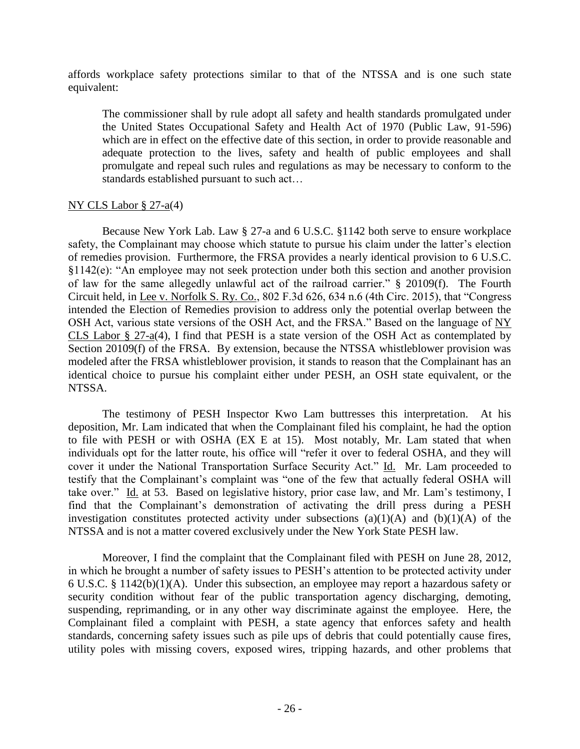affords workplace safety protections similar to that of the NTSSA and is one such state equivalent:

The commissioner shall by rule adopt all safety and health standards promulgated under the United States Occupational Safety and Health Act of 1970 (Public Law, 91-596) which are in effect on the effective date of this section, in order to provide reasonable and adequate protection to the lives, safety and health of public employees and shall promulgate and repeal such rules and regulations as may be necessary to conform to the standards established pursuant to such act…

### [NY CLS Labor § 27-a\(](https://advance.lexis.com/api/document/collection/statutes-legislation/id/5CT3-15D1-6RDJ-84D1-00000-00?context=1000516)4)

Because New York Lab. Law § 27-a and 6 U.S.C. §1142 both serve to ensure workplace safety, the Complainant may choose which statute to pursue his claim under the latter's election of remedies provision. Furthermore, the FRSA provides a nearly identical provision to 6 U.S.C. §1142(e): "An employee may not seek protection under both this section and another provision of law for the same allegedly unlawful act of the railroad carrier." § 20109(f). The Fourth Circuit held, in Lee v. Norfolk S. Ry. Co., 802 F.3d 626, 634 n.6 (4th Circ. 2015), that "Congress intended the Election of Remedies provision to address only the potential overlap between the OSH Act, various state versions of the OSH Act, and the FRSA." Based on the language of NY [CLS Labor § 27-a\(](https://advance.lexis.com/api/document/collection/statutes-legislation/id/5CT3-15D1-6RDJ-84D1-00000-00?context=1000516)4), I find that PESH is a state version of the OSH Act as contemplated by Section 20109(f) of the FRSA. By extension, because the NTSSA whistleblower provision was modeled after the FRSA whistleblower provision, it stands to reason that the Complainant has an identical choice to pursue his complaint either under PESH, an OSH state equivalent, or the NTSSA.

The testimony of PESH Inspector Kwo Lam buttresses this interpretation. At his deposition, Mr. Lam indicated that when the Complainant filed his complaint, he had the option to file with PESH or with OSHA (EX E at 15). Most notably, Mr. Lam stated that when individuals opt for the latter route, his office will "refer it over to federal OSHA, and they will cover it under the National Transportation Surface Security Act." Id. Mr. Lam proceeded to testify that the Complainant's complaint was "one of the few that actually federal OSHA will take over." Id. at 53. Based on legislative history, prior case law, and Mr. Lam"s testimony, I find that the Complainant's demonstration of activating the drill press during a PESH investigation constitutes protected activity under subsections  $(a)(1)(A)$  and  $(b)(1)(A)$  of the NTSSA and is not a matter covered exclusively under the New York State PESH law.

Moreover, I find the complaint that the Complainant filed with PESH on June 28, 2012, in which he brought a number of safety issues to PESH"s attention to be protected activity under 6 U.S.C. § 1142(b)(1)(A). Under this subsection, an employee may report a hazardous safety or security condition without fear of the public transportation agency discharging, demoting, suspending, reprimanding, or in any other way discriminate against the employee. Here, the Complainant filed a complaint with PESH, a state agency that enforces safety and health standards, concerning safety issues such as pile ups of debris that could potentially cause fires, utility poles with missing covers, exposed wires, tripping hazards, and other problems that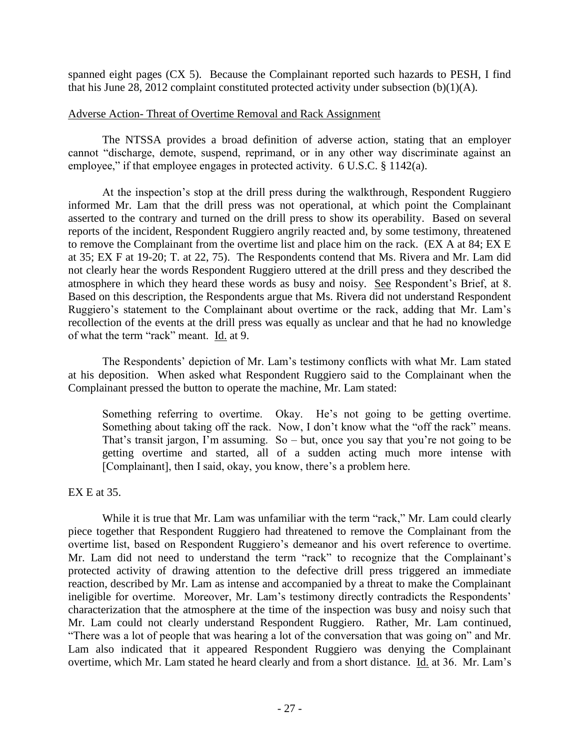spanned eight pages (CX 5). Because the Complainant reported such hazards to PESH, I find that his June 28, 2012 complaint constituted protected activity under subsection  $(b)(1)(A)$ .

### Adverse Action- Threat of Overtime Removal and Rack Assignment

The NTSSA provides a broad definition of adverse action, stating that an employer cannot "discharge, demote, suspend, reprimand, or in any other way discriminate against an employee," if that employee engages in protected activity. 6 U.S.C. § 1142(a).

At the inspection's stop at the drill press during the walkthrough, Respondent Ruggiero informed Mr. Lam that the drill press was not operational, at which point the Complainant asserted to the contrary and turned on the drill press to show its operability. Based on several reports of the incident, Respondent Ruggiero angrily reacted and, by some testimony, threatened to remove the Complainant from the overtime list and place him on the rack. (EX A at 84; EX E at 35; EX F at 19-20; T. at 22, 75). The Respondents contend that Ms. Rivera and Mr. Lam did not clearly hear the words Respondent Ruggiero uttered at the drill press and they described the atmosphere in which they heard these words as busy and noisy. See Respondent"s Brief, at 8. Based on this description, the Respondents argue that Ms. Rivera did not understand Respondent Ruggiero's statement to the Complainant about overtime or the rack, adding that Mr. Lam's recollection of the events at the drill press was equally as unclear and that he had no knowledge of what the term "rack" meant. Id. at 9.

The Respondents" depiction of Mr. Lam"s testimony conflicts with what Mr. Lam stated at his deposition. When asked what Respondent Ruggiero said to the Complainant when the Complainant pressed the button to operate the machine, Mr. Lam stated:

Something referring to overtime. Okay. He's not going to be getting overtime. Something about taking off the rack. Now, I don't know what the "off the rack" means. That's transit jargon, I'm assuming. So – but, once you say that you're not going to be getting overtime and started, all of a sudden acting much more intense with [Complainant], then I said, okay, you know, there's a problem here.

EX E at 35.

While it is true that Mr. Lam was unfamiliar with the term "rack," Mr. Lam could clearly piece together that Respondent Ruggiero had threatened to remove the Complainant from the overtime list, based on Respondent Ruggiero"s demeanor and his overt reference to overtime. Mr. Lam did not need to understand the term "rack" to recognize that the Complainant's protected activity of drawing attention to the defective drill press triggered an immediate reaction, described by Mr. Lam as intense and accompanied by a threat to make the Complainant ineligible for overtime. Moreover, Mr. Lam's testimony directly contradicts the Respondents' characterization that the atmosphere at the time of the inspection was busy and noisy such that Mr. Lam could not clearly understand Respondent Ruggiero. Rather, Mr. Lam continued, "There was a lot of people that was hearing a lot of the conversation that was going on" and Mr. Lam also indicated that it appeared Respondent Ruggiero was denying the Complainant overtime, which Mr. Lam stated he heard clearly and from a short distance. Id. at 36. Mr. Lam"s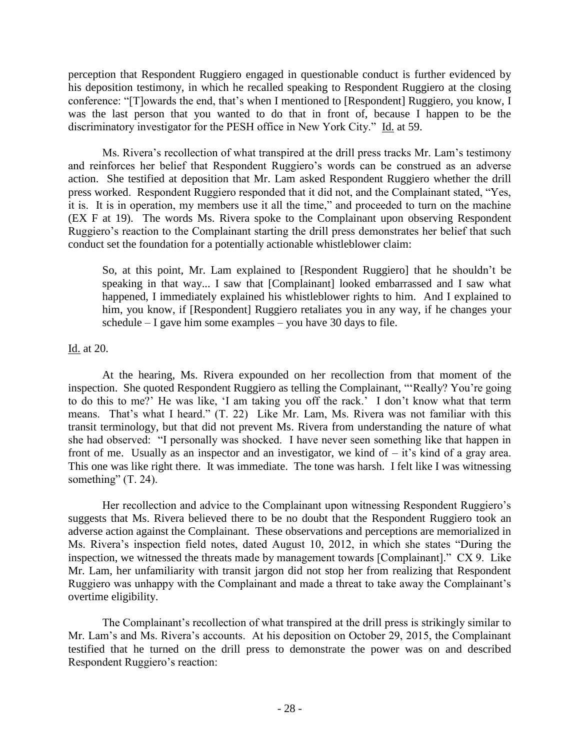perception that Respondent Ruggiero engaged in questionable conduct is further evidenced by his deposition testimony, in which he recalled speaking to Respondent Ruggiero at the closing conference: "[T]owards the end, that"s when I mentioned to [Respondent] Ruggiero, you know, I was the last person that you wanted to do that in front of, because I happen to be the discriminatory investigator for the PESH office in New York City." Id. at 59.

Ms. Rivera"s recollection of what transpired at the drill press tracks Mr. Lam"s testimony and reinforces her belief that Respondent Ruggiero"s words can be construed as an adverse action. She testified at deposition that Mr. Lam asked Respondent Ruggiero whether the drill press worked. Respondent Ruggiero responded that it did not, and the Complainant stated, "Yes, it is. It is in operation, my members use it all the time," and proceeded to turn on the machine (EX F at 19). The words Ms. Rivera spoke to the Complainant upon observing Respondent Ruggiero"s reaction to the Complainant starting the drill press demonstrates her belief that such conduct set the foundation for a potentially actionable whistleblower claim:

So, at this point, Mr. Lam explained to [Respondent Ruggiero] that he shouldn"t be speaking in that way... I saw that [Complainant] looked embarrassed and I saw what happened, I immediately explained his whistleblower rights to him. And I explained to him, you know, if [Respondent] Ruggiero retaliates you in any way, if he changes your schedule – I gave him some examples – you have 30 days to file.

Id. at 20.

At the hearing, Ms. Rivera expounded on her recollection from that moment of the inspection. She quoted Respondent Ruggiero as telling the Complainant, ""Really? You"re going to do this to me?" He was like, "I am taking you off the rack." I don"t know what that term means. That's what I heard." (T. 22) Like Mr. Lam, Ms. Rivera was not familiar with this transit terminology, but that did not prevent Ms. Rivera from understanding the nature of what she had observed: "I personally was shocked. I have never seen something like that happen in front of me. Usually as an inspector and an investigator, we kind of  $-$  it's kind of a gray area. This one was like right there. It was immediate. The tone was harsh. I felt like I was witnessing something" (T. 24).

Her recollection and advice to the Complainant upon witnessing Respondent Ruggiero's suggests that Ms. Rivera believed there to be no doubt that the Respondent Ruggiero took an adverse action against the Complainant. These observations and perceptions are memorialized in Ms. Rivera's inspection field notes, dated August 10, 2012, in which she states "During the inspection, we witnessed the threats made by management towards [Complainant]." CX 9. Like Mr. Lam, her unfamiliarity with transit jargon did not stop her from realizing that Respondent Ruggiero was unhappy with the Complainant and made a threat to take away the Complainant"s overtime eligibility.

The Complainant's recollection of what transpired at the drill press is strikingly similar to Mr. Lam's and Ms. Rivera's accounts. At his deposition on October 29, 2015, the Complainant testified that he turned on the drill press to demonstrate the power was on and described Respondent Ruggiero"s reaction: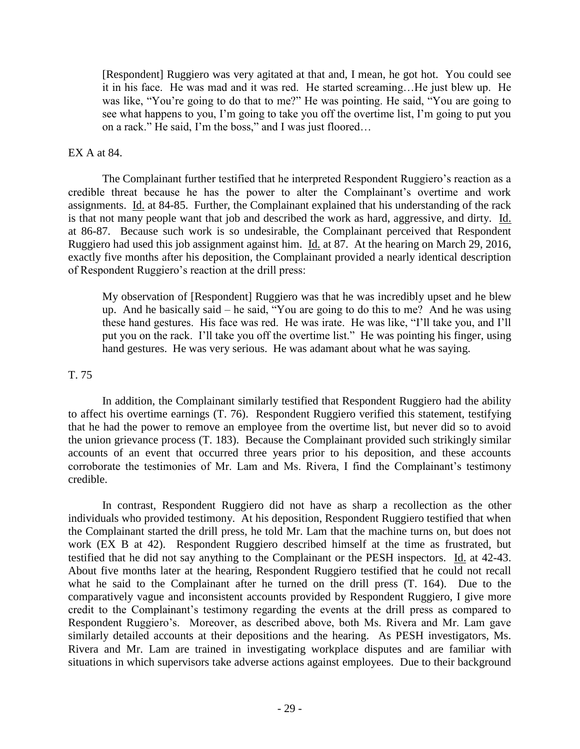[Respondent] Ruggiero was very agitated at that and, I mean, he got hot. You could see it in his face. He was mad and it was red. He started screaming…He just blew up. He was like, "You're going to do that to me?" He was pointing. He said, "You are going to see what happens to you, I"m going to take you off the overtime list, I"m going to put you on a rack." He said, I"m the boss," and I was just floored…

### EX A at 84.

The Complainant further testified that he interpreted Respondent Ruggiero's reaction as a credible threat because he has the power to alter the Complainant"s overtime and work assignments. Id. at 84-85. Further, the Complainant explained that his understanding of the rack is that not many people want that job and described the work as hard, aggressive, and dirty. Id. at 86-87. Because such work is so undesirable, the Complainant perceived that Respondent Ruggiero had used this job assignment against him. Id. at 87. At the hearing on March 29, 2016, exactly five months after his deposition, the Complainant provided a nearly identical description of Respondent Ruggiero"s reaction at the drill press:

My observation of [Respondent] Ruggiero was that he was incredibly upset and he blew up. And he basically said – he said, "You are going to do this to me? And he was using these hand gestures. His face was red. He was irate. He was like, "I"ll take you, and I"ll put you on the rack. I"ll take you off the overtime list." He was pointing his finger, using hand gestures. He was very serious. He was adamant about what he was saying.

### T. 75

In addition, the Complainant similarly testified that Respondent Ruggiero had the ability to affect his overtime earnings (T. 76). Respondent Ruggiero verified this statement, testifying that he had the power to remove an employee from the overtime list, but never did so to avoid the union grievance process (T. 183). Because the Complainant provided such strikingly similar accounts of an event that occurred three years prior to his deposition, and these accounts corroborate the testimonies of Mr. Lam and Ms. Rivera, I find the Complainant's testimony credible.

In contrast, Respondent Ruggiero did not have as sharp a recollection as the other individuals who provided testimony. At his deposition, Respondent Ruggiero testified that when the Complainant started the drill press, he told Mr. Lam that the machine turns on, but does not work (EX B at 42). Respondent Ruggiero described himself at the time as frustrated, but testified that he did not say anything to the Complainant or the PESH inspectors. Id. at 42-43. About five months later at the hearing, Respondent Ruggiero testified that he could not recall what he said to the Complainant after he turned on the drill press (T. 164). Due to the comparatively vague and inconsistent accounts provided by Respondent Ruggiero, I give more credit to the Complainant"s testimony regarding the events at the drill press as compared to Respondent Ruggiero's. Moreover, as described above, both Ms. Rivera and Mr. Lam gave similarly detailed accounts at their depositions and the hearing. As PESH investigators, Ms. Rivera and Mr. Lam are trained in investigating workplace disputes and are familiar with situations in which supervisors take adverse actions against employees. Due to their background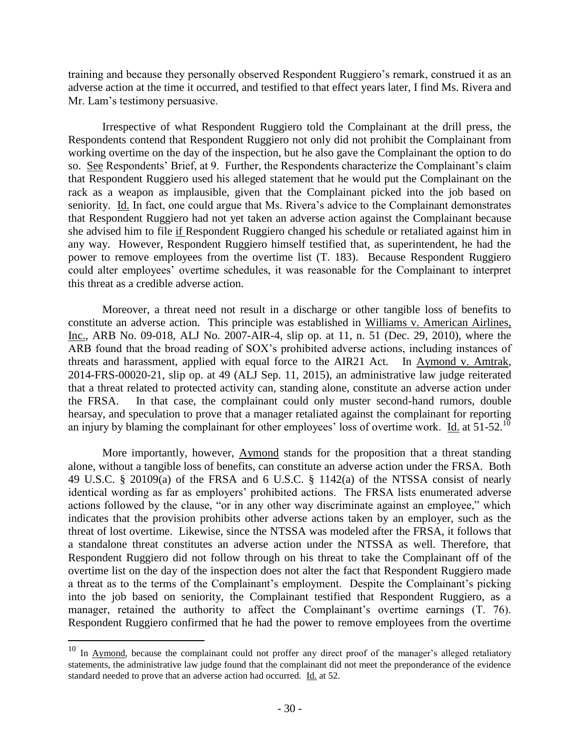training and because they personally observed Respondent Ruggiero"s remark, construed it as an adverse action at the time it occurred, and testified to that effect years later, I find Ms. Rivera and Mr. Lam"s testimony persuasive.

Irrespective of what Respondent Ruggiero told the Complainant at the drill press, the Respondents contend that Respondent Ruggiero not only did not prohibit the Complainant from working overtime on the day of the inspection, but he also gave the Complainant the option to do so. See Respondents' Brief, at 9. Further, the Respondents characterize the Complainant's claim that Respondent Ruggiero used his alleged statement that he would put the Complainant on the rack as a weapon as implausible, given that the Complainant picked into the job based on seniority. Id. In fact, one could argue that Ms. Rivera"s advice to the Complainant demonstrates that Respondent Ruggiero had not yet taken an adverse action against the Complainant because she advised him to file if Respondent Ruggiero changed his schedule or retaliated against him in any way. However, Respondent Ruggiero himself testified that, as superintendent, he had the power to remove employees from the overtime list (T. 183). Because Respondent Ruggiero could alter employees" overtime schedules, it was reasonable for the Complainant to interpret this threat as a credible adverse action.

Moreover, a threat need not result in a discharge or other tangible loss of benefits to constitute an adverse action. This principle was established in Williams v. American Airlines, Inc., ARB No. 09-018, ALJ No. 2007-AIR-4, slip op. at 11, n. 51 (Dec. 29, 2010), where the ARB found that the broad reading of SOX"s prohibited adverse actions, including instances of threats and harassment, applied with equal force to the AIR21 Act. In Aymond v. Amtrak, 2014-FRS-00020-21, slip op. at 49 (ALJ Sep. 11, 2015), an administrative law judge reiterated that a threat related to protected activity can, standing alone, constitute an adverse action under the FRSA. In that case, the complainant could only muster second-hand rumors, double hearsay, and speculation to prove that a manager retaliated against the complainant for reporting an injury by blaming the complainant for other employees' loss of overtime work. Id. at  $51-52$ .<sup>10</sup>

More importantly, however, Aymond stands for the proposition that a threat standing alone, without a tangible loss of benefits, can constitute an adverse action under the FRSA. Both 49 U.S.C. § 20109(a) of the FRSA and 6 U.S.C. § 1142(a) of the NTSSA consist of nearly identical wording as far as employers' prohibited actions. The FRSA lists enumerated adverse actions followed by the clause, "or in any other way discriminate against an employee," which indicates that the provision prohibits other adverse actions taken by an employer, such as the threat of lost overtime. Likewise, since the NTSSA was modeled after the FRSA, it follows that a standalone threat constitutes an adverse action under the NTSSA as well. Therefore, that Respondent Ruggiero did not follow through on his threat to take the Complainant off of the overtime list on the day of the inspection does not alter the fact that Respondent Ruggiero made a threat as to the terms of the Complainant"s employment. Despite the Complainant"s picking into the job based on seniority, the Complainant testified that Respondent Ruggiero, as a manager, retained the authority to affect the Complainant's overtime earnings (T. 76). Respondent Ruggiero confirmed that he had the power to remove employees from the overtime

 $\overline{a}$ 

 $10$  In Aymond, because the complainant could not proffer any direct proof of the manager's alleged retaliatory statements, the administrative law judge found that the complainant did not meet the preponderance of the evidence standard needed to prove that an adverse action had occurred. Id. at 52.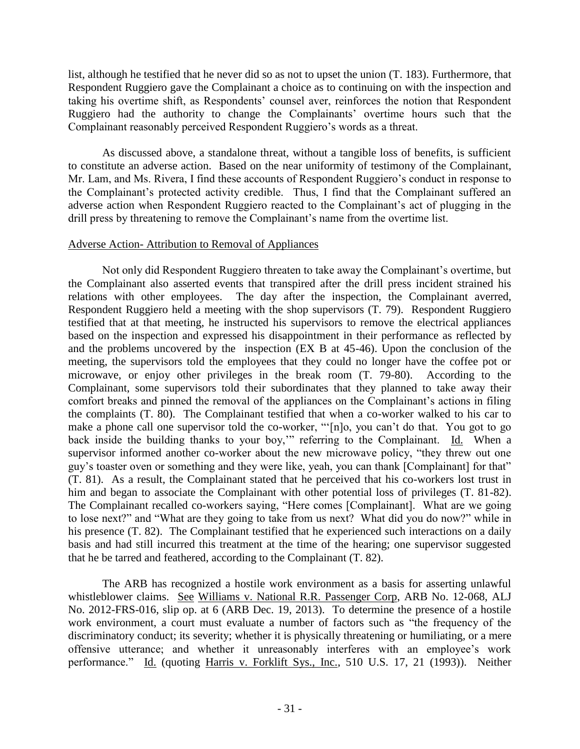list, although he testified that he never did so as not to upset the union (T. 183). Furthermore, that Respondent Ruggiero gave the Complainant a choice as to continuing on with the inspection and taking his overtime shift, as Respondents' counsel aver, reinforces the notion that Respondent Ruggiero had the authority to change the Complainants" overtime hours such that the Complainant reasonably perceived Respondent Ruggiero"s words as a threat.

As discussed above, a standalone threat, without a tangible loss of benefits, is sufficient to constitute an adverse action. Based on the near uniformity of testimony of the Complainant, Mr. Lam, and Ms. Rivera, I find these accounts of Respondent Ruggiero's conduct in response to the Complainant"s protected activity credible. Thus, I find that the Complainant suffered an adverse action when Respondent Ruggiero reacted to the Complainant"s act of plugging in the drill press by threatening to remove the Complainant's name from the overtime list.

### Adverse Action- Attribution to Removal of Appliances

Not only did Respondent Ruggiero threaten to take away the Complainant"s overtime, but the Complainant also asserted events that transpired after the drill press incident strained his relations with other employees. The day after the inspection, the Complainant averred, Respondent Ruggiero held a meeting with the shop supervisors (T. 79). Respondent Ruggiero testified that at that meeting, he instructed his supervisors to remove the electrical appliances based on the inspection and expressed his disappointment in their performance as reflected by and the problems uncovered by the inspection (EX B at 45-46). Upon the conclusion of the meeting, the supervisors told the employees that they could no longer have the coffee pot or microwave, or enjoy other privileges in the break room (T. 79-80). According to the Complainant, some supervisors told their subordinates that they planned to take away their comfort breaks and pinned the removal of the appliances on the Complainant's actions in filing the complaints (T. 80). The Complainant testified that when a co-worker walked to his car to make a phone call one supervisor told the co-worker, "'[n]o, you can't do that. You got to go back inside the building thanks to your boy," referring to the Complainant. Id. When a supervisor informed another co-worker about the new microwave policy, "they threw out one guy"s toaster oven or something and they were like, yeah, you can thank [Complainant] for that" (T. 81). As a result, the Complainant stated that he perceived that his co-workers lost trust in him and began to associate the Complainant with other potential loss of privileges (T. 81-82). The Complainant recalled co-workers saying, "Here comes [Complainant]. What are we going to lose next?" and "What are they going to take from us next? What did you do now?" while in his presence (T. 82). The Complainant testified that he experienced such interactions on a daily basis and had still incurred this treatment at the time of the hearing; one supervisor suggested that he be tarred and feathered, according to the Complainant (T. 82).

The ARB has recognized a hostile work environment as a basis for asserting unlawful whistleblower claims. See Williams v. National R.R. Passenger Corp, ARB No. 12-068, ALJ No. 2012-FRS-016, slip op. at 6 (ARB Dec. 19, 2013). To determine the presence of a hostile work environment, a court must evaluate a number of factors such as "the frequency of the discriminatory conduct; its severity; whether it is physically threatening or humiliating, or a mere offensive utterance; and whether it unreasonably interferes with an employee"s work performance." Id. (quoting Harris v. Forklift Sys., Inc., 510 U.S. 17, 21 (1993)). Neither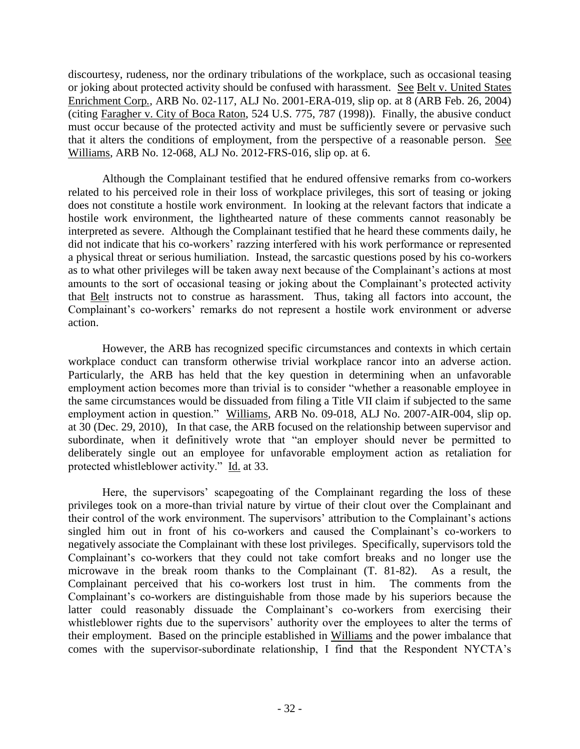discourtesy, rudeness, nor the ordinary tribulations of the workplace, such as occasional teasing or joking about protected activity should be confused with harassment. See Belt v. United States Enrichment Corp*.*, ARB No. 02-117, ALJ No. 2001-ERA-019, slip op. at 8 (ARB Feb. 26, 2004) (citing Faragher v. City of Boca Raton, 524 U.S. 775, 787 (1998)). Finally, the abusive conduct must occur because of the protected activity and must be sufficiently severe or pervasive such that it alters the conditions of employment, from the perspective of a reasonable person. See Williams, ARB No. 12-068, ALJ No. 2012-FRS-016, slip op. at 6.

Although the Complainant testified that he endured offensive remarks from co-workers related to his perceived role in their loss of workplace privileges, this sort of teasing or joking does not constitute a hostile work environment. In looking at the relevant factors that indicate a hostile work environment, the lighthearted nature of these comments cannot reasonably be interpreted as severe. Although the Complainant testified that he heard these comments daily, he did not indicate that his co-workers' razzing interfered with his work performance or represented a physical threat or serious humiliation. Instead, the sarcastic questions posed by his co-workers as to what other privileges will be taken away next because of the Complainant's actions at most amounts to the sort of occasional teasing or joking about the Complainant's protected activity that Belt instructs not to construe as harassment. Thus, taking all factors into account, the Complainant's co-workers' remarks do not represent a hostile work environment or adverse action.

However, the ARB has recognized specific circumstances and contexts in which certain workplace conduct can transform otherwise trivial workplace rancor into an adverse action. Particularly, the ARB has held that the key question in determining when an unfavorable employment action becomes more than trivial is to consider "whether a reasonable employee in the same circumstances would be dissuaded from filing a Title VII claim if subjected to the same employment action in question." Williams, ARB No. 09-018, ALJ No. 2007-AIR-004, slip op. at 30 (Dec. 29, 2010), In that case, the ARB focused on the relationship between supervisor and subordinate, when it definitively wrote that "an employer should never be permitted to deliberately single out an employee for unfavorable employment action as retaliation for protected whistleblower activity." Id. at 33.

Here, the supervisors' scapegoating of the Complainant regarding the loss of these privileges took on a more-than trivial nature by virtue of their clout over the Complainant and their control of the work environment. The supervisors' attribution to the Complainant's actions singled him out in front of his co-workers and caused the Complainant's co-workers to negatively associate the Complainant with these lost privileges. Specifically, supervisors told the Complainant's co-workers that they could not take comfort breaks and no longer use the microwave in the break room thanks to the Complainant (T. 81-82). As a result, the Complainant perceived that his co-workers lost trust in him. The comments from the Complainant's co-workers are distinguishable from those made by his superiors because the latter could reasonably dissuade the Complainant's co-workers from exercising their whistleblower rights due to the supervisors' authority over the employees to alter the terms of their employment. Based on the principle established in Williams and the power imbalance that comes with the supervisor-subordinate relationship, I find that the Respondent NYCTA"s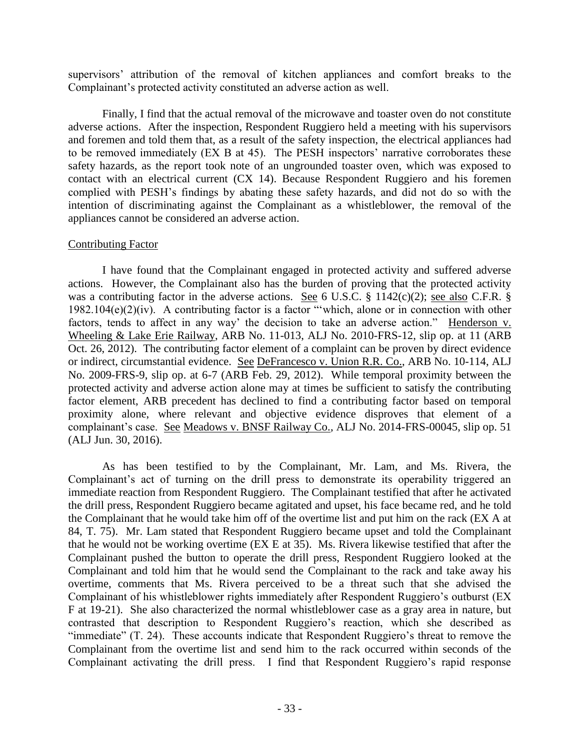supervisors' attribution of the removal of kitchen appliances and comfort breaks to the Complainant's protected activity constituted an adverse action as well.

Finally, I find that the actual removal of the microwave and toaster oven do not constitute adverse actions. After the inspection, Respondent Ruggiero held a meeting with his supervisors and foremen and told them that, as a result of the safety inspection, the electrical appliances had to be removed immediately (EX B at 45). The PESH inspectors' narrative corroborates these safety hazards, as the report took note of an ungrounded toaster oven, which was exposed to contact with an electrical current (CX 14). Because Respondent Ruggiero and his foremen complied with PESH"s findings by abating these safety hazards, and did not do so with the intention of discriminating against the Complainant as a whistleblower, the removal of the appliances cannot be considered an adverse action.

### Contributing Factor

I have found that the Complainant engaged in protected activity and suffered adverse actions. However, the Complainant also has the burden of proving that the protected activity was a contributing factor in the adverse actions. See 6 U.S.C. § 1142(c)(2); see also C.F.R. § 1982.104 $(e)(2)(iv)$ . A contributing factor is a factor "which, alone or in connection with other factors, tends to affect in any way' the decision to take an adverse action." Henderson v. Wheeling & Lake Erie Railway, ARB No. 11-013, ALJ No. 2010-FRS-12, slip op. at 11 (ARB Oct. 26, 2012). The contributing factor element of a complaint can be proven by direct evidence or indirect, circumstantial evidence. See DeFrancesco v. Union R.R. Co., ARB No. 10-114, ALJ No. 2009-FRS-9, slip op. at 6-7 (ARB Feb. 29, 2012). While temporal proximity between the protected activity and adverse action alone may at times be sufficient to satisfy the contributing factor element, ARB precedent has declined to find a contributing factor based on temporal proximity alone, where relevant and objective evidence disproves that element of a complainant's case. See Meadows v. BNSF Railway Co., ALJ No. 2014-FRS-00045, slip op. 51 (ALJ Jun. 30, 2016).

As has been testified to by the Complainant, Mr. Lam, and Ms. Rivera, the Complainant's act of turning on the drill press to demonstrate its operability triggered an immediate reaction from Respondent Ruggiero. The Complainant testified that after he activated the drill press, Respondent Ruggiero became agitated and upset, his face became red, and he told the Complainant that he would take him off of the overtime list and put him on the rack (EX A at 84, T. 75). Mr. Lam stated that Respondent Ruggiero became upset and told the Complainant that he would not be working overtime (EX E at 35). Ms. Rivera likewise testified that after the Complainant pushed the button to operate the drill press, Respondent Ruggiero looked at the Complainant and told him that he would send the Complainant to the rack and take away his overtime, comments that Ms. Rivera perceived to be a threat such that she advised the Complainant of his whistleblower rights immediately after Respondent Ruggiero"s outburst (EX F at 19-21). She also characterized the normal whistleblower case as a gray area in nature, but contrasted that description to Respondent Ruggiero"s reaction, which she described as "immediate" (T. 24). These accounts indicate that Respondent Ruggiero"s threat to remove the Complainant from the overtime list and send him to the rack occurred within seconds of the Complainant activating the drill press. I find that Respondent Ruggiero's rapid response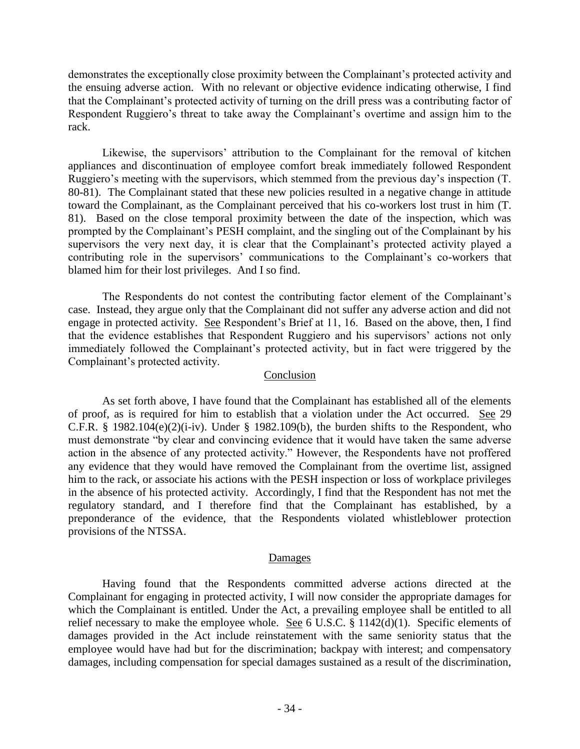demonstrates the exceptionally close proximity between the Complainant's protected activity and the ensuing adverse action. With no relevant or objective evidence indicating otherwise, I find that the Complainant's protected activity of turning on the drill press was a contributing factor of Respondent Ruggiero's threat to take away the Complainant's overtime and assign him to the rack.

Likewise, the supervisors' attribution to the Complainant for the removal of kitchen appliances and discontinuation of employee comfort break immediately followed Respondent Ruggiero's meeting with the supervisors, which stemmed from the previous day's inspection (T. 80-81). The Complainant stated that these new policies resulted in a negative change in attitude toward the Complainant, as the Complainant perceived that his co-workers lost trust in him (T. 81). Based on the close temporal proximity between the date of the inspection, which was prompted by the Complainant"s PESH complaint, and the singling out of the Complainant by his supervisors the very next day, it is clear that the Complainant's protected activity played a contributing role in the supervisors' communications to the Complainant's co-workers that blamed him for their lost privileges. And I so find.

The Respondents do not contest the contributing factor element of the Complainant's case. Instead, they argue only that the Complainant did not suffer any adverse action and did not engage in protected activity. See Respondent's Brief at 11, 16. Based on the above, then, I find that the evidence establishes that Respondent Ruggiero and his supervisors' actions not only immediately followed the Complainant's protected activity, but in fact were triggered by the Complainant"s protected activity.

#### Conclusion

As set forth above, I have found that the Complainant has established all of the elements of proof, as is required for him to establish that a violation under the Act occurred. See 29 C.F.R. § 1982.104(e)(2)(i-iv). Under § 1982.109(b), the burden shifts to the Respondent, who must demonstrate "by clear and convincing evidence that it would have taken the same adverse action in the absence of any protected activity." However, the Respondents have not proffered any evidence that they would have removed the Complainant from the overtime list, assigned him to the rack, or associate his actions with the PESH inspection or loss of workplace privileges in the absence of his protected activity. Accordingly, I find that the Respondent has not met the regulatory standard, and I therefore find that the Complainant has established, by a preponderance of the evidence, that the Respondents violated whistleblower protection provisions of the NTSSA.

### Damages

Having found that the Respondents committed adverse actions directed at the Complainant for engaging in protected activity, I will now consider the appropriate damages for which the Complainant is entitled. Under the Act, a prevailing employee shall be entitled to all relief necessary to make the employee whole. See 6 U.S.C. § 1142(d)(1). Specific elements of damages provided in the Act include reinstatement with the same seniority status that the employee would have had but for the discrimination; backpay with interest; and compensatory damages, including compensation for special damages sustained as a result of the discrimination,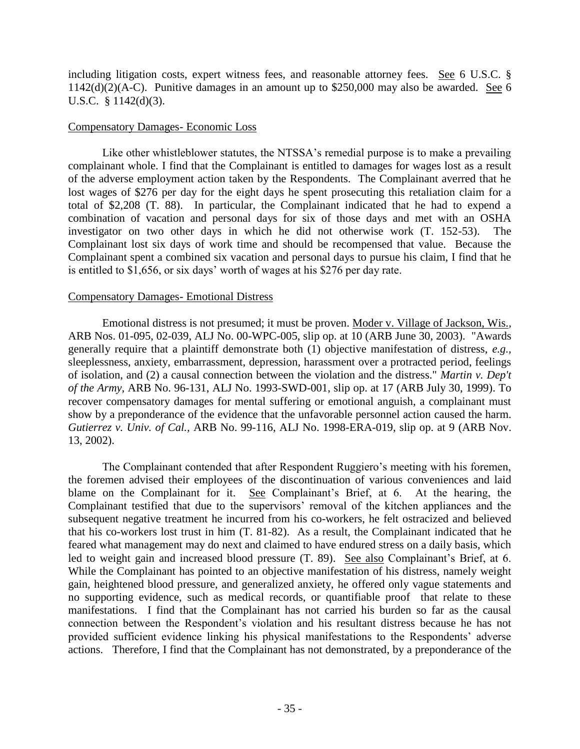including litigation costs, expert witness fees, and reasonable attorney fees. See 6 U.S.C. §  $1142(d)(2)(A-C)$ . Punitive damages in an amount up to \$250,000 may also be awarded. See 6 U.S.C. § 1142(d)(3).

#### Compensatory Damages- Economic Loss

Like other whistleblower statutes, the NTSSA's remedial purpose is to make a prevailing complainant whole. I find that the Complainant is entitled to damages for wages lost as a result of the adverse employment action taken by the Respondents. The Complainant averred that he lost wages of \$276 per day for the eight days he spent prosecuting this retaliation claim for a total of \$2,208 (T. 88). In particular, the Complainant indicated that he had to expend a combination of vacation and personal days for six of those days and met with an OSHA investigator on two other days in which he did not otherwise work (T. 152-53). The Complainant lost six days of work time and should be recompensed that value. Because the Complainant spent a combined six vacation and personal days to pursue his claim, I find that he is entitled to \$1,656, or six days" worth of wages at his \$276 per day rate.

### Compensatory Damages- Emotional Distress

Emotional distress is not presumed; it must be proven. Moder v. Village of Jackson, Wis.*,* ARB Nos. 01-095, 02-039, ALJ No. 00-WPC-005, slip op. at 10 (ARB June 30, 2003). "Awards generally require that a plaintiff demonstrate both (1) objective manifestation of distress, *e.g.,* sleeplessness, anxiety, embarrassment, depression, harassment over a protracted period, feelings of isolation, and (2) a causal connection between the violation and the distress." *Martin v. Dep't of the Army,* ARB No. 96-131, ALJ No. 1993-SWD-001, slip op. at 17 (ARB July 30, 1999). To recover compensatory damages for mental suffering or emotional anguish, a complainant must show by a preponderance of the evidence that the unfavorable personnel action caused the harm. *Gutierrez v. Univ. of Cal.,* ARB No. 99-116, ALJ No. 1998-ERA-019, slip op. at 9 (ARB Nov. 13, 2002).

The Complainant contended that after Respondent Ruggiero's meeting with his foremen, the foremen advised their employees of the discontinuation of various conveniences and laid blame on the Complainant for it. See Complainant's Brief, at 6. At the hearing, the Complainant testified that due to the supervisors' removal of the kitchen appliances and the subsequent negative treatment he incurred from his co-workers, he felt ostracized and believed that his co-workers lost trust in him (T. 81-82). As a result, the Complainant indicated that he feared what management may do next and claimed to have endured stress on a daily basis, which led to weight gain and increased blood pressure  $(T. 89)$ . See also Complainant's Brief, at 6. While the Complainant has pointed to an objective manifestation of his distress, namely weight gain, heightened blood pressure, and generalized anxiety, he offered only vague statements and no supporting evidence, such as medical records, or quantifiable proof that relate to these manifestations. I find that the Complainant has not carried his burden so far as the causal connection between the Respondent"s violation and his resultant distress because he has not provided sufficient evidence linking his physical manifestations to the Respondents" adverse actions. Therefore, I find that the Complainant has not demonstrated, by a preponderance of the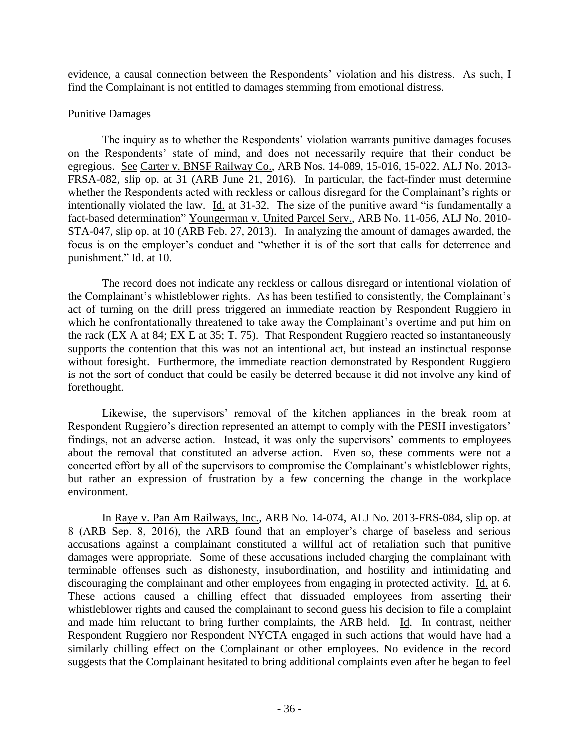evidence, a causal connection between the Respondents' violation and his distress. As such, I find the Complainant is not entitled to damages stemming from emotional distress.

### Punitive Damages

The inquiry as to whether the Respondents' violation warrants punitive damages focuses on the Respondents" state of mind, and does not necessarily require that their conduct be egregious. See Carter v. BNSF Railway Co., ARB Nos. 14-089, 15-016, 15-022. ALJ No. 2013- FRSA-082, slip op. at 31 (ARB June 21, 2016). In particular, the fact-finder must determine whether the Respondents acted with reckless or callous disregard for the Complainant's rights or intentionally violated the law. Id. at 31-32. The size of the punitive award "is fundamentally a fact-based determination" Youngerman v. United Parcel Serv., ARB No. 11-056, ALJ No. 2010- STA-047, slip op. at 10 (ARB Feb. 27, 2013). In analyzing the amount of damages awarded, the focus is on the employer's conduct and "whether it is of the sort that calls for deterrence and punishment." Id. at 10.

The record does not indicate any reckless or callous disregard or intentional violation of the Complainant's whistleblower rights. As has been testified to consistently, the Complainant's act of turning on the drill press triggered an immediate reaction by Respondent Ruggiero in which he confrontationally threatened to take away the Complainant's overtime and put him on the rack (EX A at 84; EX E at 35; T. 75). That Respondent Ruggiero reacted so instantaneously supports the contention that this was not an intentional act, but instead an instinctual response without foresight. Furthermore, the immediate reaction demonstrated by Respondent Ruggiero is not the sort of conduct that could be easily be deterred because it did not involve any kind of forethought.

Likewise, the supervisors' removal of the kitchen appliances in the break room at Respondent Ruggiero's direction represented an attempt to comply with the PESH investigators' findings, not an adverse action. Instead, it was only the supervisors' comments to employees about the removal that constituted an adverse action. Even so, these comments were not a concerted effort by all of the supervisors to compromise the Complainant"s whistleblower rights, but rather an expression of frustration by a few concerning the change in the workplace environment.

In Raye v. Pan Am Railways, Inc., ARB No. 14-074, ALJ No. 2013-FRS-084, slip op. at 8 (ARB Sep. 8, 2016), the ARB found that an employer"s charge of baseless and serious accusations against a complainant constituted a willful act of retaliation such that punitive damages were appropriate. Some of these accusations included charging the complainant with terminable offenses such as dishonesty, insubordination, and hostility and intimidating and discouraging the complainant and other employees from engaging in protected activity. Id. at 6. These actions caused a chilling effect that dissuaded employees from asserting their whistleblower rights and caused the complainant to second guess his decision to file a complaint and made him reluctant to bring further complaints, the ARB held. Id. In contrast, neither Respondent Ruggiero nor Respondent NYCTA engaged in such actions that would have had a similarly chilling effect on the Complainant or other employees. No evidence in the record suggests that the Complainant hesitated to bring additional complaints even after he began to feel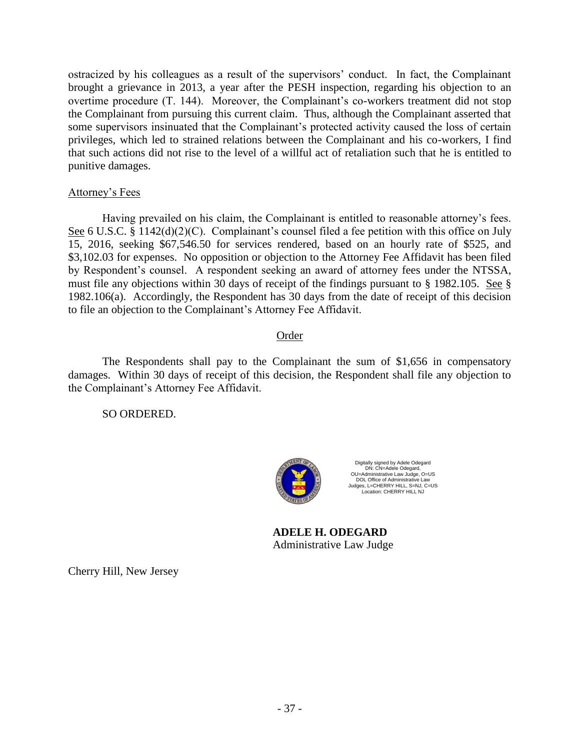ostracized by his colleagues as a result of the supervisors" conduct. In fact, the Complainant brought a grievance in 2013, a year after the PESH inspection, regarding his objection to an overtime procedure (T. 144). Moreover, the Complainant's co-workers treatment did not stop the Complainant from pursuing this current claim. Thus, although the Complainant asserted that some supervisors insinuated that the Complainant's protected activity caused the loss of certain privileges, which led to strained relations between the Complainant and his co-workers, I find that such actions did not rise to the level of a willful act of retaliation such that he is entitled to punitive damages.

# Attorney's Fees

Having prevailed on his claim, the Complainant is entitled to reasonable attorney"s fees. See 6 U.S.C. § 1142(d)(2)(C). Complainant's counsel filed a fee petition with this office on July 15, 2016, seeking \$67,546.50 for services rendered, based on an hourly rate of \$525, and \$3,102.03 for expenses. No opposition or objection to the Attorney Fee Affidavit has been filed by Respondent"s counsel. A respondent seeking an award of attorney fees under the NTSSA, must file any objections within 30 days of receipt of the findings pursuant to § 1982.105. See § 1982.106(a). Accordingly, the Respondent has 30 days from the date of receipt of this decision to file an objection to the Complainant"s Attorney Fee Affidavit.

### Order

The Respondents shall pay to the Complainant the sum of \$1,656 in compensatory damages. Within 30 days of receipt of this decision, the Respondent shall file any objection to the Complainant"s Attorney Fee Affidavit.

SO ORDERED.



Digitally signed by Adele Odegard DN: CN=Adele Odegard, OU=Administrative Law Judge, O=US DOL Office of Administrative Law Judges, L=CHERRY HILL, S=NJ, C=US Location: CHERRY HILL NJ

**ADELE H. ODEGARD** Administrative Law Judge

Cherry Hill, New Jersey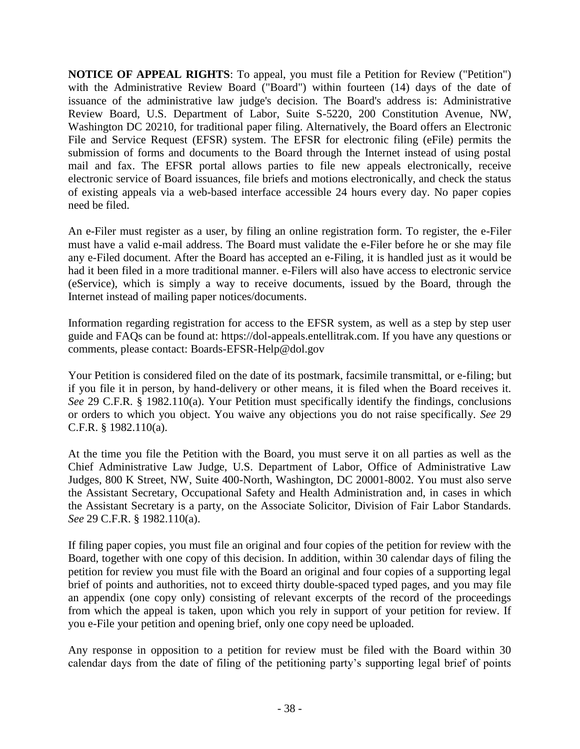**NOTICE OF APPEAL RIGHTS:** To appeal, you must file a Petition for Review ("Petition") with the Administrative Review Board ("Board") within fourteen (14) days of the date of issuance of the administrative law judge's decision. The Board's address is: Administrative Review Board, U.S. Department of Labor, Suite S-5220, 200 Constitution Avenue, NW, Washington DC 20210, for traditional paper filing. Alternatively, the Board offers an Electronic File and Service Request (EFSR) system. The EFSR for electronic filing (eFile) permits the submission of forms and documents to the Board through the Internet instead of using postal mail and fax. The EFSR portal allows parties to file new appeals electronically, receive electronic service of Board issuances, file briefs and motions electronically, and check the status of existing appeals via a web-based interface accessible 24 hours every day. No paper copies need be filed.

An e-Filer must register as a user, by filing an online registration form. To register, the e-Filer must have a valid e-mail address. The Board must validate the e-Filer before he or she may file any e-Filed document. After the Board has accepted an e-Filing, it is handled just as it would be had it been filed in a more traditional manner. e-Filers will also have access to electronic service (eService), which is simply a way to receive documents, issued by the Board, through the Internet instead of mailing paper notices/documents.

Information regarding registration for access to the EFSR system, as well as a step by step user guide and FAQs can be found at: https://dol-appeals.entellitrak.com. If you have any questions or comments, please contact: Boards-EFSR-Help@dol.gov

Your Petition is considered filed on the date of its postmark, facsimile transmittal, or e-filing; but if you file it in person, by hand-delivery or other means, it is filed when the Board receives it. *See* 29 C.F.R. § 1982.110(a). Your Petition must specifically identify the findings, conclusions or orders to which you object. You waive any objections you do not raise specifically. *See* 29 C.F.R. § 1982.110(a).

At the time you file the Petition with the Board, you must serve it on all parties as well as the Chief Administrative Law Judge, U.S. Department of Labor, Office of Administrative Law Judges, 800 K Street, NW, Suite 400-North, Washington, DC 20001-8002. You must also serve the Assistant Secretary, Occupational Safety and Health Administration and, in cases in which the Assistant Secretary is a party, on the Associate Solicitor, Division of Fair Labor Standards. *See* 29 C.F.R. § 1982.110(a).

If filing paper copies, you must file an original and four copies of the petition for review with the Board, together with one copy of this decision. In addition, within 30 calendar days of filing the petition for review you must file with the Board an original and four copies of a supporting legal brief of points and authorities, not to exceed thirty double-spaced typed pages, and you may file an appendix (one copy only) consisting of relevant excerpts of the record of the proceedings from which the appeal is taken, upon which you rely in support of your petition for review. If you e-File your petition and opening brief, only one copy need be uploaded.

Any response in opposition to a petition for review must be filed with the Board within 30 calendar days from the date of filing of the petitioning party"s supporting legal brief of points